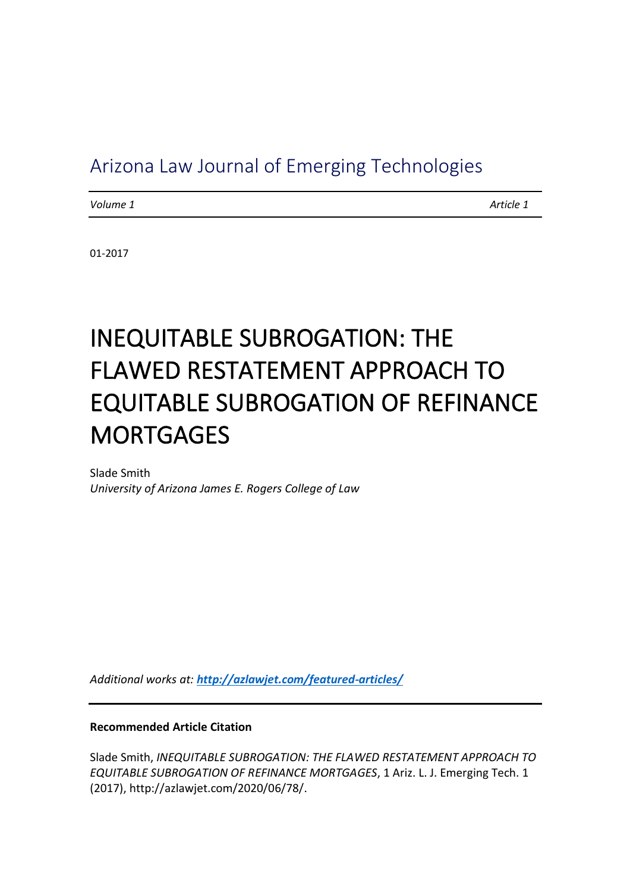# Arizona Law Journal of Emerging Technologies

*Volume 1 Article 1*

01-2017

# INEQUITABLE SUBROGATION: THE FLAWED RESTATEMENT APPROACH TO EQUITABLE SUBROGATION OF REFINANCE **MORTGAGES**

Slade Smith *University of Arizona James E. Rogers College of Law*

*Additional works at: <http://azlawjet.com/featured-articles/>*

**Recommended Article Citation**

Slade Smith, *INEQUITABLE SUBROGATION: THE FLAWED RESTATEMENT APPROACH TO EQUITABLE SUBROGATION OF REFINANCE MORTGAGES*, 1 Ariz. L. J. Emerging Tech. 1 (2017), http://azlawjet.com/2020/06/78/.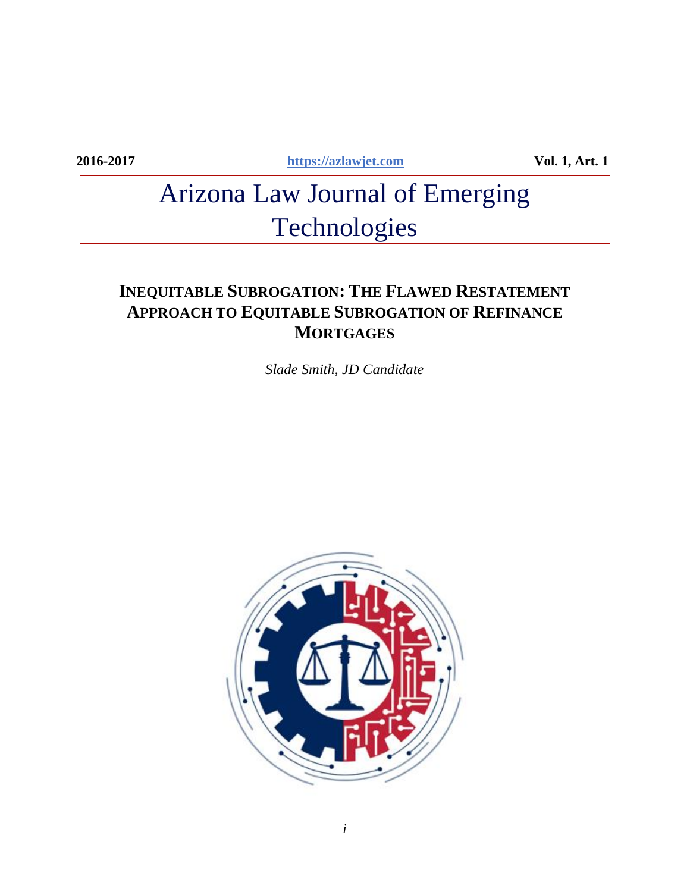**2016-2017 [https://azlawjet.com](https://azlawjet.com/) Vol. 1, Art. 1**

# Arizona Law Journal of Emerging Technologies

# **INEQUITABLE SUBROGATION: THE FLAWED RESTATEMENT APPROACH TO EQUITABLE SUBROGATION OF REFINANCE MORTGAGES**

*Slade Smith, JD Candidate*

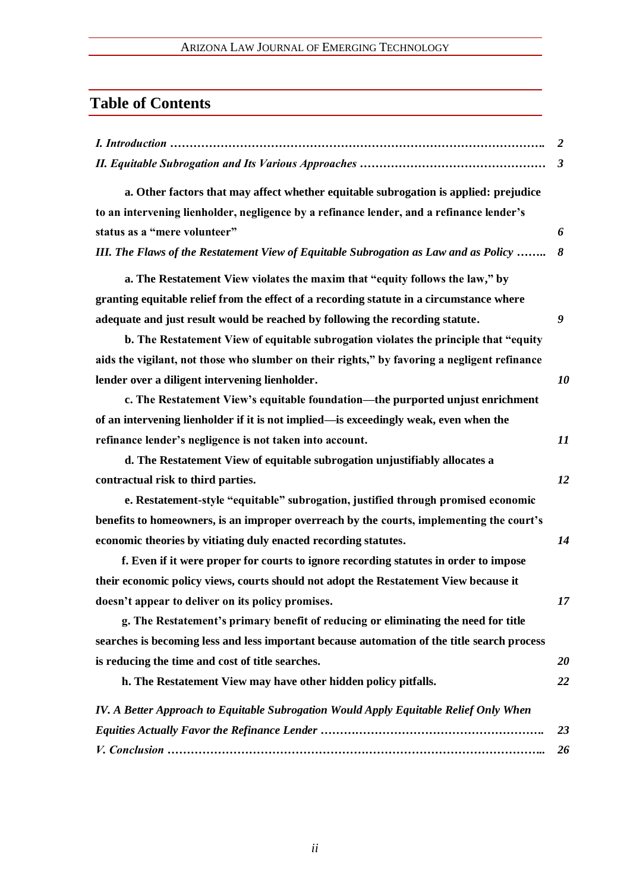### ARIZONA LAW JOURNAL OF EMERGING TECHNOLOGY

# **Table of Contents**

| 2                                                                                            |    |
|----------------------------------------------------------------------------------------------|----|
| $\boldsymbol{\beta}$                                                                         |    |
| a. Other factors that may affect whether equitable subrogation is applied: prejudice         |    |
| to an intervening lienholder, negligence by a refinance lender, and a refinance lender's     |    |
| status as a "mere volunteer"<br>6                                                            |    |
| III. The Flaws of the Restatement View of Equitable Subrogation as Law and as Policy<br>8    |    |
| a. The Restatement View violates the maxim that "equity follows the law," by                 |    |
| granting equitable relief from the effect of a recording statute in a circumstance where     |    |
| adequate and just result would be reached by following the recording statute.<br>9           |    |
| b. The Restatement View of equitable subrogation violates the principle that "equity         |    |
| aids the vigilant, not those who slumber on their rights," by favoring a negligent refinance |    |
| lender over a diligent intervening lienholder.                                               | 10 |
| c. The Restatement View's equitable foundation—the purported unjust enrichment               |    |
| of an intervening lienholder if it is not implied—is exceedingly weak, even when the         |    |
| refinance lender's negligence is not taken into account.                                     | 11 |
| d. The Restatement View of equitable subrogation unjustifiably allocates a                   |    |
| contractual risk to third parties.                                                           | 12 |
| e. Restatement-style "equitable" subrogation, justified through promised economic            |    |
| benefits to homeowners, is an improper overreach by the courts, implementing the court's     |    |
| economic theories by vitiating duly enacted recording statutes.                              | 14 |
| f. Even if it were proper for courts to ignore recording statutes in order to impose         |    |
| their economic policy views, courts should not adopt the Restatement View because it         |    |
| doesn't appear to deliver on its policy promises.                                            | 17 |
| g. The Restatement's primary benefit of reducing or eliminating the need for title           |    |
| searches is becoming less and less important because automation of the title search process  |    |
| is reducing the time and cost of title searches.                                             | 20 |
| h. The Restatement View may have other hidden policy pitfalls.                               | 22 |
| IV. A Better Approach to Equitable Subrogation Would Apply Equitable Relief Only When        |    |
|                                                                                              | 23 |
|                                                                                              | 26 |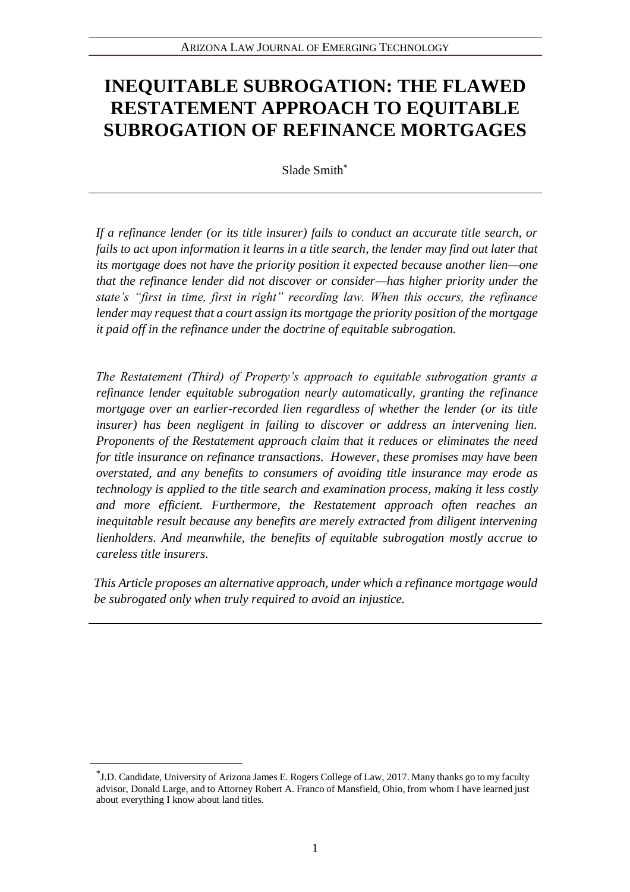# **INEQUITABLE SUBROGATION: THE FLAWED RESTATEMENT APPROACH TO EQUITABLE SUBROGATION OF REFINANCE MORTGAGES**

Slade Smith\*

*If a refinance lender (or its title insurer) fails to conduct an accurate title search, or fails to act upon information it learns in a title search, the lender may find out later that its mortgage does not have the priority position it expected because another lien—one that the refinance lender did not discover or consider—has higher priority under the state's "first in time, first in right" recording law. When this occurs, the refinance lender may request that a court assign its mortgage the priority position of the mortgage it paid off in the refinance under the doctrine of equitable subrogation.* 

*The Restatement (Third) of Property's approach to equitable subrogation grants a refinance lender equitable subrogation nearly automatically, granting the refinance mortgage over an earlier-recorded lien regardless of whether the lender (or its title insurer) has been negligent in failing to discover or address an intervening lien. Proponents of the Restatement approach claim that it reduces or eliminates the need for title insurance on refinance transactions. However, these promises may have been overstated, and any benefits to consumers of avoiding title insurance may erode as technology is applied to the title search and examination process, making it less costly and more efficient. Furthermore, the Restatement approach often reaches an inequitable result because any benefits are merely extracted from diligent intervening lienholders. And meanwhile, the benefits of equitable subrogation mostly accrue to careless title insurers.* 

*This Article proposes an alternative approach, under which a refinance mortgage would be subrogated only when truly required to avoid an injustice.* 

<sup>\*</sup> J.D. Candidate, University of Arizona James E. Rogers College of Law, 2017. Many thanks go to my faculty advisor, Donald Large, and to Attorney Robert A. Franco of Mansfield, Ohio, from whom I have learned just about everything I know about land titles.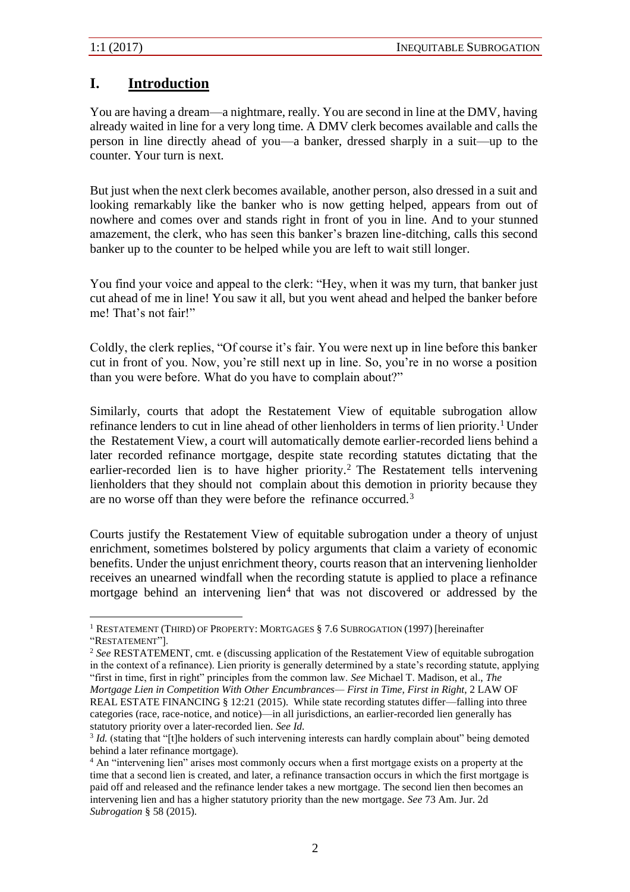## **I. Introduction**

You are having a dream—a nightmare, really. You are second in line at the DMV, having already waited in line for a very long time. A DMV clerk becomes available and calls the person in line directly ahead of you—a banker, dressed sharply in a suit—up to the counter. Your turn is next.

But just when the next clerk becomes available, another person, also dressed in a suit and looking remarkably like the banker who is now getting helped, appears from out of nowhere and comes over and stands right in front of you in line. And to your stunned amazement, the clerk, who has seen this banker's brazen line-ditching, calls this second banker up to the counter to be helped while you are left to wait still longer.

You find your voice and appeal to the clerk: "Hey, when it was my turn, that banker just cut ahead of me in line! You saw it all, but you went ahead and helped the banker before me! That's not fair!"

Coldly, the clerk replies, "Of course it's fair. You were next up in line before this banker cut in front of you. Now, you're still next up in line. So, you're in no worse a position than you were before. What do you have to complain about?"

Similarly, courts that adopt the Restatement View of equitable subrogation allow refinance lenders to cut in line ahead of other lienholders in terms of lien priority.<sup>1</sup> Under the Restatement View, a court will automatically demote earlier-recorded liens behind a later recorded refinance mortgage, despite state recording statutes dictating that the earlier-recorded lien is to have higher priority.<sup>2</sup> The Restatement tells intervening lienholders that they should not complain about this demotion in priority because they are no worse off than they were before the refinance occurred.<sup>3</sup>

Courts justify the Restatement View of equitable subrogation under a theory of unjust enrichment, sometimes bolstered by policy arguments that claim a variety of economic benefits. Under the unjust enrichment theory, courts reason that an intervening lienholder receives an unearned windfall when the recording statute is applied to place a refinance mortgage behind an intervening lien<sup>4</sup> that was not discovered or addressed by the

<sup>&</sup>lt;sup>1</sup> RESTATEMENT (THIRD) OF PROPERTY: MORTGAGES § 7.6 SUBROGATION (1997) [hereinafter "RESTATEMENT"].

<sup>2</sup> *See* RESTATEMENT, cmt. e (discussing application of the Restatement View of equitable subrogation in the context of a refinance). Lien priority is generally determined by a state's recording statute, applying "first in time, first in right" principles from the common law. *See* Michael T. Madison, et al., *The Mortgage Lien in Competition With Other Encumbrances— First in Time, First in Right*, 2 LAW OF REAL ESTATE FINANCING § 12:21 (2015). While state recording statutes differ—falling into three categories (race, race-notice, and notice)—in all jurisdictions, an earlier-recorded lien generally has statutory priority over a later-recorded lien. *See Id.*

<sup>&</sup>lt;sup>3</sup> *Id.* (stating that "[t]he holders of such intervening interests can hardly complain about" being demoted behind a later refinance mortgage).

<sup>&</sup>lt;sup>4</sup> An "intervening lien" arises most commonly occurs when a first mortgage exists on a property at the time that a second lien is created, and later, a refinance transaction occurs in which the first mortgage is paid off and released and the refinance lender takes a new mortgage. The second lien then becomes an intervening lien and has a higher statutory priority than the new mortgage. *See* 73 Am. Jur. 2d *Subrogation* § 58 (2015).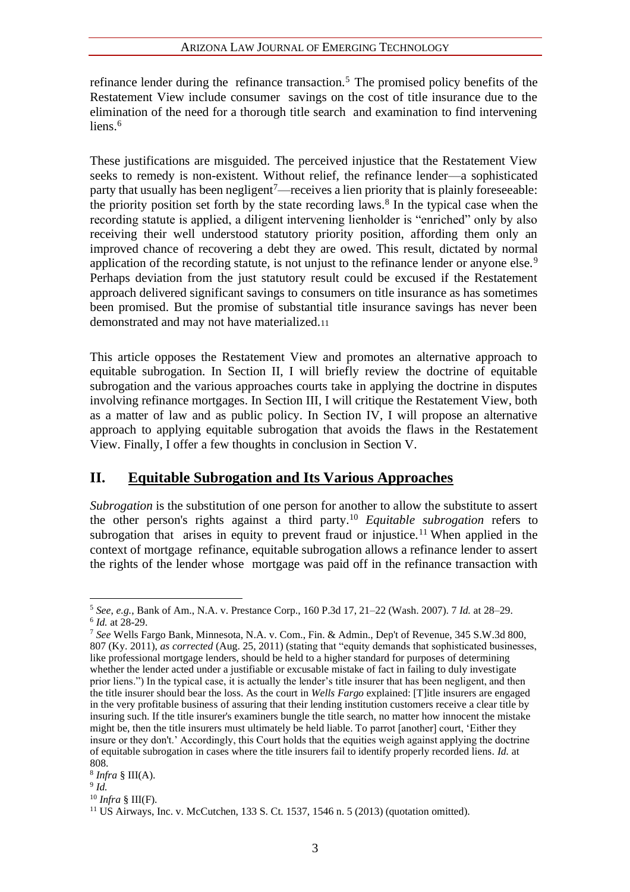#### ARIZONA LAW JOURNAL OF EMERGING TECHNOLOGY

refinance lender during the refinance transaction.<sup>5</sup> The promised policy benefits of the Restatement View include consumer savings on the cost of title insurance due to the elimination of the need for a thorough title search and examination to find intervening liens $6$ 

These justifications are misguided. The perceived injustice that the Restatement View seeks to remedy is non-existent. Without relief, the refinance lender—a sophisticated party that usually has been negligent<sup>7</sup>—receives a lien priority that is plainly foreseeable: the priority position set forth by the state recording laws.<sup>8</sup> In the typical case when the recording statute is applied, a diligent intervening lienholder is "enriched" only by also receiving their well understood statutory priority position, affording them only an improved chance of recovering a debt they are owed. This result, dictated by normal application of the recording statute, is not unjust to the refinance lender or anyone else.<sup>9</sup> Perhaps deviation from the just statutory result could be excused if the Restatement approach delivered significant savings to consumers on title insurance as has sometimes been promised. But the promise of substantial title insurance savings has never been demonstrated and may not have materialized.<sup>11</sup>

This article opposes the Restatement View and promotes an alternative approach to equitable subrogation. In Section II, I will briefly review the doctrine of equitable subrogation and the various approaches courts take in applying the doctrine in disputes involving refinance mortgages. In Section III, I will critique the Restatement View, both as a matter of law and as public policy. In Section IV, I will propose an alternative approach to applying equitable subrogation that avoids the flaws in the Restatement View. Finally, I offer a few thoughts in conclusion in Section V.

### **II. Equitable Subrogation and Its Various Approaches**

*Subrogation* is the substitution of one person for another to allow the substitute to assert the other person's rights against a third party.<sup>10</sup> *Equitable subrogation* refers to subrogation that arises in equity to prevent fraud or injustice.<sup>11</sup> When applied in the context of mortgage refinance, equitable subrogation allows a refinance lender to assert the rights of the lender whose mortgage was paid off in the refinance transaction with

<sup>10</sup> *Infra* § III(F).

<sup>5</sup> *See*, *e.g.*, Bank of Am., N.A. v. Prestance Corp., 160 P.3d 17, 21–22 (Wash. 2007). 7 *Id.* at 28–29. 6 *Id.* at 28-29.

<sup>7</sup> *See* Wells Fargo Bank, Minnesota, N.A. v. Com., Fin. & Admin., Dep't of Revenue, 345 S.W.3d 800, 807 (Ky. 2011), *as corrected* (Aug. 25, 2011) (stating that "equity demands that sophisticated businesses, like professional mortgage lenders, should be held to a higher standard for purposes of determining whether the lender acted under a justifiable or excusable mistake of fact in failing to duly investigate prior liens.") In the typical case, it is actually the lender's title insurer that has been negligent, and then the title insurer should bear the loss. As the court in *Wells Fargo* explained: [T]itle insurers are engaged in the very profitable business of assuring that their lending institution customers receive a clear title by insuring such. If the title insurer's examiners bungle the title search, no matter how innocent the mistake might be, then the title insurers must ultimately be held liable. To parrot [another] court, 'Either they insure or they don't.' Accordingly, this Court holds that the equities weigh against applying the doctrine of equitable subrogation in cases where the title insurers fail to identify properly recorded liens. *Id.* at 808.

<sup>8</sup> *Infra* § III(A).

<sup>9</sup> *Id.*

 $11$  US Airways, Inc. v. McCutchen, 133 S. Ct. 1537, 1546 n. 5 (2013) (quotation omitted).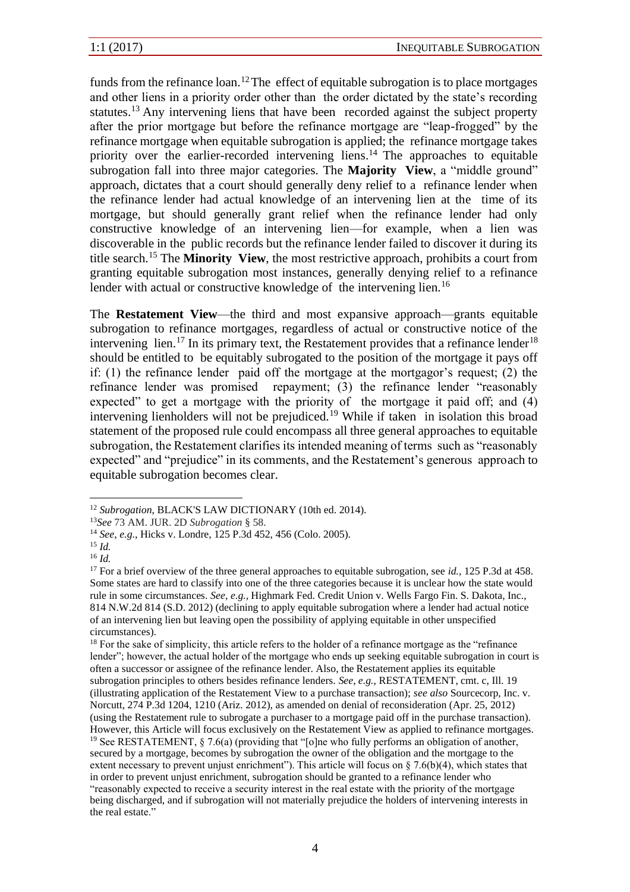funds from the refinance  $\alpha$ .<sup>12</sup>The effect of equitable subrogation is to place mortgages and other liens in a priority order other than the order dictated by the state's recording statutes.<sup>13</sup> Any intervening liens that have been recorded against the subject property after the prior mortgage but before the refinance mortgage are "leap-frogged" by the refinance mortgage when equitable subrogation is applied; the refinance mortgage takes priority over the earlier-recorded intervening liens.<sup>14</sup> The approaches to equitable subrogation fall into three major categories. The **Majority View**, a "middle ground" approach, dictates that a court should generally deny relief to a refinance lender when the refinance lender had actual knowledge of an intervening lien at the time of its mortgage, but should generally grant relief when the refinance lender had only constructive knowledge of an intervening lien—for example, when a lien was discoverable in the public records but the refinance lender failed to discover it during its title search.<sup>15</sup> The **Minority View**, the most restrictive approach, prohibits a court from granting equitable subrogation most instances, generally denying relief to a refinance lender with actual or constructive knowledge of the intervening lien.<sup>16</sup>

The **Restatement View**—the third and most expansive approach—grants equitable subrogation to refinance mortgages, regardless of actual or constructive notice of the intervening lien.<sup>17</sup> In its primary text, the Restatement provides that a refinance lender<sup>18</sup> should be entitled to be equitably subrogated to the position of the mortgage it pays off if: (1) the refinance lender paid off the mortgage at the mortgagor's request; (2) the refinance lender was promised repayment; (3) the refinance lender "reasonably expected" to get a mortgage with the priority of the mortgage it paid off; and (4) intervening lienholders will not be prejudiced.<sup>19</sup> While if taken in isolation this broad statement of the proposed rule could encompass all three general approaches to equitable subrogation, the Restatement clarifies its intended meaning of terms such as "reasonably expected" and "prejudice" in its comments, and the Restatement's generous approach to equitable subrogation becomes clear.

<sup>&</sup>lt;sup>12</sup> *Subrogation*, BLACK'S LAW DICTIONARY (10th ed. 2014).

<sup>13</sup>*See* 73 AM. JUR. 2D *Subrogation* § 58.

<sup>14</sup> *See*, *e.g.*, Hicks v. Londre, 125 P.3d 452, 456 (Colo. 2005).

<sup>15</sup> *Id.*

<sup>16</sup> *Id.*

<sup>&</sup>lt;sup>17</sup> For a brief overview of the three general approaches to equitable subrogation, see *id.*, 125 P.3d at 458. Some states are hard to classify into one of the three categories because it is unclear how the state would rule in some circumstances. *See*, *e.g.,* Highmark Fed. Credit Union v. Wells Fargo Fin. S. Dakota, Inc., 814 N.W.2d 814 (S.D. 2012) (declining to apply equitable subrogation where a lender had actual notice of an intervening lien but leaving open the possibility of applying equitable in other unspecified circumstances).

<sup>&</sup>lt;sup>18</sup> For the sake of simplicity, this article refers to the holder of a refinance mortgage as the "refinance" lender"; however, the actual holder of the mortgage who ends up seeking equitable subrogation in court is often a successor or assignee of the refinance lender. Also, the Restatement applies its equitable subrogation principles to others besides refinance lenders. *See*, *e.g.*, RESTATEMENT, cmt. c, Ill. 19 (illustrating application of the Restatement View to a purchase transaction); *see also* Sourcecorp, Inc. v. Norcutt, 274 P.3d 1204, 1210 (Ariz. 2012), as amended on denial of reconsideration (Apr. 25, 2012) (using the Restatement rule to subrogate a purchaser to a mortgage paid off in the purchase transaction). However, this Article will focus exclusively on the Restatement View as applied to refinance mortgages. <sup>19</sup> See RESTATEMENT, § 7.6(a) (providing that "[o]ne who fully performs an obligation of another, secured by a mortgage, becomes by subrogation the owner of the obligation and the mortgage to the extent necessary to prevent unjust enrichment"). This article will focus on § 7.6(b)(4), which states that in order to prevent unjust enrichment, subrogation should be granted to a refinance lender who "reasonably expected to receive a security interest in the real estate with the priority of the mortgage being discharged, and if subrogation will not materially prejudice the holders of intervening interests in the real estate."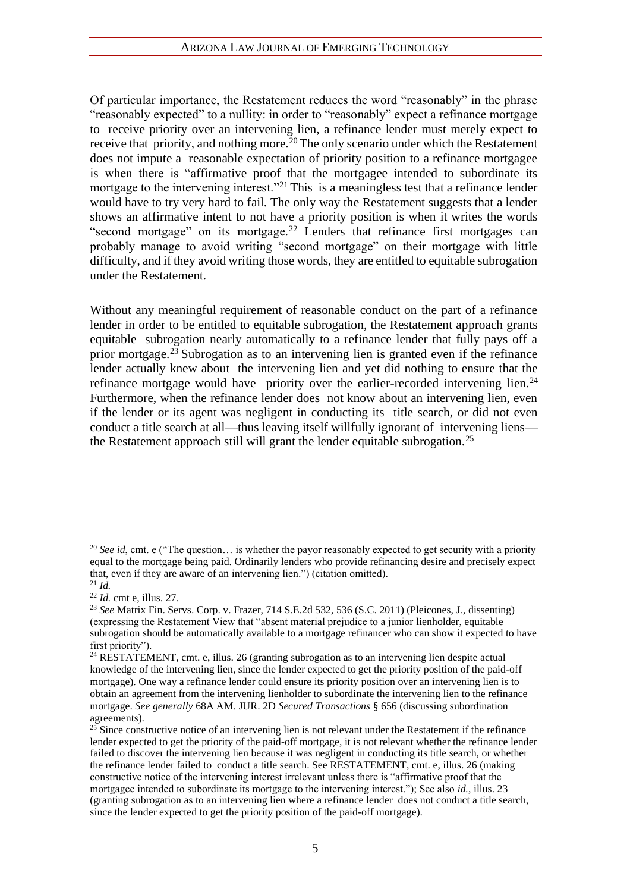Of particular importance, the Restatement reduces the word "reasonably" in the phrase "reasonably expected" to a nullity: in order to "reasonably" expect a refinance mortgage to receive priority over an intervening lien, a refinance lender must merely expect to receive that priority, and nothing more.<sup>20</sup> The only scenario under which the Restatement does not impute a reasonable expectation of priority position to a refinance mortgagee is when there is "affirmative proof that the mortgagee intended to subordinate its mortgage to the intervening interest."<sup>21</sup> This is a meaningless test that a refinance lender would have to try very hard to fail. The only way the Restatement suggests that a lender shows an affirmative intent to not have a priority position is when it writes the words "second mortgage" on its mortgage.<sup>22</sup> Lenders that refinance first mortgages can probably manage to avoid writing "second mortgage" on their mortgage with little difficulty, and if they avoid writing those words, they are entitled to equitable subrogation under the Restatement.

Without any meaningful requirement of reasonable conduct on the part of a refinance lender in order to be entitled to equitable subrogation, the Restatement approach grants equitable subrogation nearly automatically to a refinance lender that fully pays off a prior mortgage.<sup>23</sup> Subrogation as to an intervening lien is granted even if the refinance lender actually knew about the intervening lien and yet did nothing to ensure that the refinance mortgage would have priority over the earlier-recorded intervening lien.<sup>24</sup> Furthermore, when the refinance lender does not know about an intervening lien, even if the lender or its agent was negligent in conducting its title search, or did not even conduct a title search at all—thus leaving itself willfully ignorant of intervening liens the Restatement approach still will grant the lender equitable subrogation.<sup>25</sup>

<sup>&</sup>lt;sup>20</sup> *See id*, cmt. e ("The question... is whether the payor reasonably expected to get security with a priority equal to the mortgage being paid. Ordinarily lenders who provide refinancing desire and precisely expect that, even if they are aware of an intervening lien.") (citation omitted). <sup>21</sup> *Id.*

<sup>22</sup> *Id.* cmt e, illus. 27.

<sup>23</sup> *See* Matrix Fin. Servs. Corp. v. Frazer, 714 S.E.2d 532, 536 (S.C. 2011) (Pleicones, J., dissenting) (expressing the Restatement View that "absent material prejudice to a junior lienholder, equitable subrogation should be automatically available to a mortgage refinancer who can show it expected to have first priority").

 $^{24}$  RESTATEMENT, cmt. e, illus. 26 (granting subrogation as to an intervening lien despite actual knowledge of the intervening lien, since the lender expected to get the priority position of the paid-off mortgage). One way a refinance lender could ensure its priority position over an intervening lien is to obtain an agreement from the intervening lienholder to subordinate the intervening lien to the refinance mortgage. *See generally* 68A AM. JUR. 2D *Secured Transactions* § 656 (discussing subordination agreements).

 $25$  Since constructive notice of an intervening lien is not relevant under the Restatement if the refinance lender expected to get the priority of the paid-off mortgage, it is not relevant whether the refinance lender failed to discover the intervening lien because it was negligent in conducting its title search, or whether the refinance lender failed to conduct a title search. See RESTATEMENT, cmt. e, illus. 26 (making constructive notice of the intervening interest irrelevant unless there is "affirmative proof that the mortgagee intended to subordinate its mortgage to the intervening interest."); See also *id.*, illus. 23 (granting subrogation as to an intervening lien where a refinance lender does not conduct a title search, since the lender expected to get the priority position of the paid-off mortgage).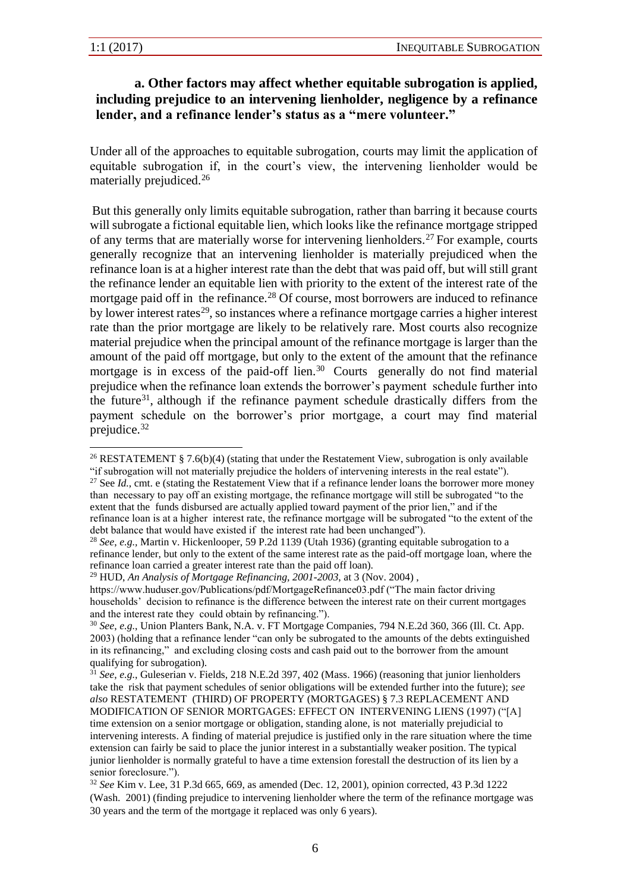#### **a. Other factors may affect whether equitable subrogation is applied, including prejudice to an intervening lienholder, negligence by a refinance lender, and a refinance lender's status as a "mere volunteer."**

Under all of the approaches to equitable subrogation, courts may limit the application of equitable subrogation if, in the court's view, the intervening lienholder would be materially prejudiced.<sup>26</sup>

But this generally only limits equitable subrogation, rather than barring it because courts will subrogate a fictional equitable lien, which looks like the refinance mortgage stripped of any terms that are materially worse for intervening lienholders.<sup>27</sup> For example, courts generally recognize that an intervening lienholder is materially prejudiced when the refinance loan is at a higher interest rate than the debt that was paid off, but will still grant the refinance lender an equitable lien with priority to the extent of the interest rate of the mortgage paid off in the refinance.<sup>28</sup> Of course, most borrowers are induced to refinance by lower interest rates<sup>29</sup>, so instances where a refinance mortgage carries a higher interest rate than the prior mortgage are likely to be relatively rare. Most courts also recognize material prejudice when the principal amount of the refinance mortgage is larger than the amount of the paid off mortgage, but only to the extent of the amount that the refinance mortgage is in excess of the paid-off lien.<sup>30</sup> Courts generally do not find material prejudice when the refinance loan extends the borrower's payment schedule further into the future<sup>31</sup>, although if the refinance payment schedule drastically differs from the payment schedule on the borrower's prior mortgage, a court may find material prejudice.<sup>32</sup>

<sup>&</sup>lt;sup>26</sup> RESTATEMENT § 7.6(b)(4) (stating that under the Restatement View, subrogation is only available "if subrogation will not materially prejudice the holders of intervening interests in the real estate").

<sup>&</sup>lt;sup>27</sup> See *Id.*, cmt. e (stating the Restatement View that if a refinance lender loans the borrower more money than necessary to pay off an existing mortgage, the refinance mortgage will still be subrogated "to the extent that the funds disbursed are actually applied toward payment of the prior lien," and if the refinance loan is at a higher interest rate, the refinance mortgage will be subrogated "to the extent of the debt balance that would have existed if the interest rate had been unchanged").

<sup>28</sup> *See*, *e.g.,* Martin v. Hickenlooper, 59 P.2d 1139 (Utah 1936) (granting equitable subrogation to a refinance lender, but only to the extent of the same interest rate as the paid-off mortgage loan, where the refinance loan carried a greater interest rate than the paid off loan).

<sup>29</sup> HUD, *An Analysis of Mortgage Refinancing, 2001-2003*, at 3 (Nov. 2004) ,

https://www.huduser.gov/Publications/pdf/MortgageRefinance03.pdf ("The main factor driving households' decision to refinance is the difference between the interest rate on their current mortgages and the interest rate they could obtain by refinancing.").

<sup>30</sup> *See*, *e.g.*, Union Planters Bank, N.A. v. FT Mortgage Companies, 794 N.E.2d 360, 366 (Ill. Ct. App. 2003) (holding that a refinance lender "can only be subrogated to the amounts of the debts extinguished in its refinancing," and excluding closing costs and cash paid out to the borrower from the amount qualifying for subrogation).

<sup>31</sup> *See*, *e.g.*, Guleserian v. Fields, 218 N.E.2d 397, 402 (Mass. 1966) (reasoning that junior lienholders take the risk that payment schedules of senior obligations will be extended further into the future); *see also* RESTATEMENT (THIRD) OF PROPERTY (MORTGAGES) § 7.3 REPLACEMENT AND MODIFICATION OF SENIOR MORTGAGES: EFFECT ON INTERVENING LIENS (1997) ("[A] time extension on a senior mortgage or obligation, standing alone, is not materially prejudicial to

intervening interests. A finding of material prejudice is justified only in the rare situation where the time extension can fairly be said to place the junior interest in a substantially weaker position. The typical junior lienholder is normally grateful to have a time extension forestall the destruction of its lien by a senior foreclosure.").

<sup>32</sup> *See* Kim v. Lee, 31 P.3d 665, 669, as amended (Dec. 12, 2001), opinion corrected, 43 P.3d 1222 (Wash. 2001) (finding prejudice to intervening lienholder where the term of the refinance mortgage was 30 years and the term of the mortgage it replaced was only 6 years).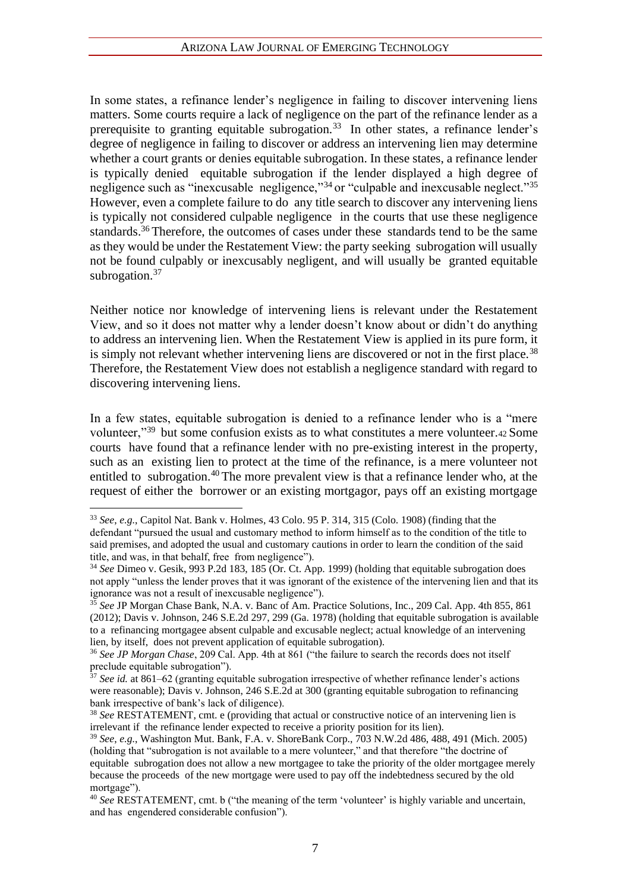In some states, a refinance lender's negligence in failing to discover intervening liens matters. Some courts require a lack of negligence on the part of the refinance lender as a prerequisite to granting equitable subrogation.<sup>33</sup> In other states, a refinance lender's degree of negligence in failing to discover or address an intervening lien may determine whether a court grants or denies equitable subrogation. In these states, a refinance lender is typically denied equitable subrogation if the lender displayed a high degree of negligence such as "inexcusable negligence,"<sup>34</sup> or "culpable and inexcusable neglect."<sup>35</sup> However, even a complete failure to do any title search to discover any intervening liens is typically not considered culpable negligence in the courts that use these negligence standards.<sup>36</sup> Therefore, the outcomes of cases under these standards tend to be the same as they would be under the Restatement View: the party seeking subrogation will usually not be found culpably or inexcusably negligent, and will usually be granted equitable subrogation.<sup>37</sup>

Neither notice nor knowledge of intervening liens is relevant under the Restatement View, and so it does not matter why a lender doesn't know about or didn't do anything to address an intervening lien. When the Restatement View is applied in its pure form, it is simply not relevant whether intervening liens are discovered or not in the first place.<sup>38</sup> Therefore, the Restatement View does not establish a negligence standard with regard to discovering intervening liens.

In a few states, equitable subrogation is denied to a refinance lender who is a "mere volunteer,"<sup>39</sup> but some confusion exists as to what constitutes a mere volunteer.42 Some courts have found that a refinance lender with no pre-existing interest in the property, such as an existing lien to protect at the time of the refinance, is a mere volunteer not entitled to subrogation.<sup>40</sup> The more prevalent view is that a refinance lender who, at the request of either the borrower or an existing mortgagor, pays off an existing mortgage

<sup>33</sup> *See*, *e.g.*, Capitol Nat. Bank v. Holmes, 43 Colo. 95 P. 314, 315 (Colo. 1908) (finding that the defendant "pursued the usual and customary method to inform himself as to the condition of the title to said premises, and adopted the usual and customary cautions in order to learn the condition of the said title, and was, in that behalf, free from negligence").

<sup>34</sup> *See* Dimeo v. Gesik, 993 P.2d 183, 185 (Or. Ct. App. 1999) (holding that equitable subrogation does not apply "unless the lender proves that it was ignorant of the existence of the intervening lien and that its ignorance was not a result of inexcusable negligence").

<sup>35</sup> *See* JP Morgan Chase Bank, N.A. v. Banc of Am. Practice Solutions, Inc., 209 Cal. App. 4th 855, 861 (2012); Davis v. Johnson, 246 S.E.2d 297, 299 (Ga. 1978) (holding that equitable subrogation is available to a refinancing mortgagee absent culpable and excusable neglect; actual knowledge of an intervening lien, by itself, does not prevent application of equitable subrogation).

<sup>36</sup> *See JP Morgan Chase*, 209 Cal. App. 4th at 861 ("the failure to search the records does not itself preclude equitable subrogation").

<sup>&</sup>lt;sup>37</sup> *See id.* at 861–62 (granting equitable subrogation irrespective of whether refinance lender's actions were reasonable); Davis v. Johnson, 246 S.E.2d at 300 (granting equitable subrogation to refinancing bank irrespective of bank's lack of diligence).

<sup>38</sup> *See* RESTATEMENT, cmt. e (providing that actual or constructive notice of an intervening lien is irrelevant if the refinance lender expected to receive a priority position for its lien).

<sup>39</sup> *See*, *e.g.*, Washington Mut. Bank, F.A. v. ShoreBank Corp., 703 N.W.2d 486, 488, 491 (Mich. 2005) (holding that "subrogation is not available to a mere volunteer," and that therefore "the doctrine of equitable subrogation does not allow a new mortgagee to take the priority of the older mortgagee merely because the proceeds of the new mortgage were used to pay off the indebtedness secured by the old mortgage").

<sup>40</sup> *See* RESTATEMENT, cmt. b ("the meaning of the term 'volunteer' is highly variable and uncertain, and has engendered considerable confusion").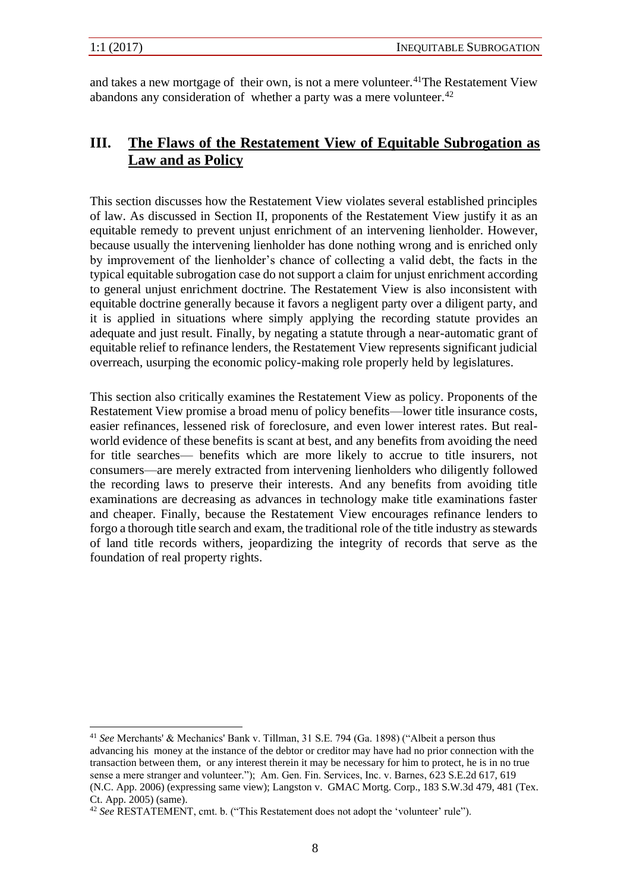and takes a new mortgage of their own, is not a mere volunteer.<sup>41</sup>The Restatement View abandons any consideration of whether a party was a mere volunteer.  $42$ 

## **III. The Flaws of the Restatement View of Equitable Subrogation as Law and as Policy**

This section discusses how the Restatement View violates several established principles of law. As discussed in Section II, proponents of the Restatement View justify it as an equitable remedy to prevent unjust enrichment of an intervening lienholder. However, because usually the intervening lienholder has done nothing wrong and is enriched only by improvement of the lienholder's chance of collecting a valid debt, the facts in the typical equitable subrogation case do not support a claim for unjust enrichment according to general unjust enrichment doctrine. The Restatement View is also inconsistent with equitable doctrine generally because it favors a negligent party over a diligent party, and it is applied in situations where simply applying the recording statute provides an adequate and just result. Finally, by negating a statute through a near-automatic grant of equitable relief to refinance lenders, the Restatement View represents significant judicial overreach, usurping the economic policy-making role properly held by legislatures.

This section also critically examines the Restatement View as policy. Proponents of the Restatement View promise a broad menu of policy benefits—lower title insurance costs, easier refinances, lessened risk of foreclosure, and even lower interest rates. But realworld evidence of these benefits is scant at best, and any benefits from avoiding the need for title searches— benefits which are more likely to accrue to title insurers, not consumers—are merely extracted from intervening lienholders who diligently followed the recording laws to preserve their interests. And any benefits from avoiding title examinations are decreasing as advances in technology make title examinations faster and cheaper. Finally, because the Restatement View encourages refinance lenders to forgo a thorough title search and exam, the traditional role of the title industry as stewards of land title records withers, jeopardizing the integrity of records that serve as the foundation of real property rights.

<sup>41</sup> *See* Merchants' & Mechanics' Bank v. Tillman, 31 S.E. 794 (Ga. 1898) ("Albeit a person thus advancing his money at the instance of the debtor or creditor may have had no prior connection with the transaction between them, or any interest therein it may be necessary for him to protect, he is in no true sense a mere stranger and volunteer."); Am. Gen. Fin. Services, Inc. v. Barnes, 623 S.E.2d 617, 619 (N.C. App. 2006) (expressing same view); Langston v. GMAC Mortg. Corp., 183 S.W.3d 479, 481 (Tex. Ct. App. 2005) (same).

<sup>42</sup> *See* RESTATEMENT, cmt. b. ("This Restatement does not adopt the 'volunteer' rule").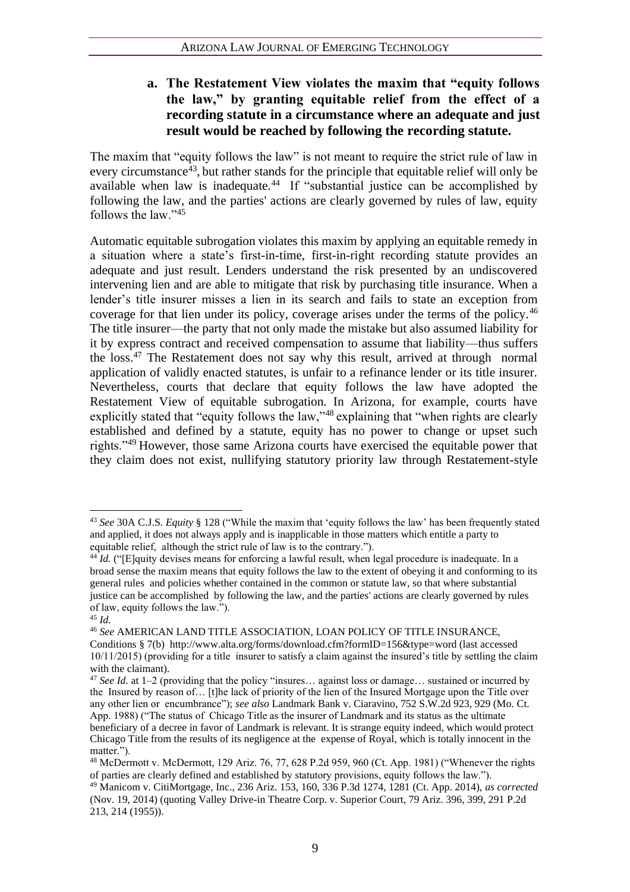#### **a. The Restatement View violates the maxim that "equity follows the law," by granting equitable relief from the effect of a recording statute in a circumstance where an adequate and just result would be reached by following the recording statute.**

The maxim that "equity follows the law" is not meant to require the strict rule of law in every circumstance<sup>43</sup>, but rather stands for the principle that equitable relief will only be available when law is inadequate.<sup>44</sup> If "substantial justice can be accomplished by following the law, and the parties' actions are clearly governed by rules of law, equity follows the law."<sup>45</sup>

Automatic equitable subrogation violates this maxim by applying an equitable remedy in a situation where a state's first-in-time, first-in-right recording statute provides an adequate and just result. Lenders understand the risk presented by an undiscovered intervening lien and are able to mitigate that risk by purchasing title insurance. When a lender's title insurer misses a lien in its search and fails to state an exception from coverage for that lien under its policy, coverage arises under the terms of the policy.<sup>46</sup> The title insurer—the party that not only made the mistake but also assumed liability for it by express contract and received compensation to assume that liability—thus suffers the loss.<sup>47</sup> The Restatement does not say why this result, arrived at through normal application of validly enacted statutes, is unfair to a refinance lender or its title insurer. Nevertheless, courts that declare that equity follows the law have adopted the Restatement View of equitable subrogation. In Arizona, for example, courts have explicitly stated that "equity follows the law,"<sup>48</sup> explaining that "when rights are clearly established and defined by a statute, equity has no power to change or upset such rights."<sup>49</sup> However, those same Arizona courts have exercised the equitable power that they claim does not exist, nullifying statutory priority law through Restatement-style

<sup>43</sup> *See* 30A C.J.S. *Equity* § 128 ("While the maxim that 'equity follows the law' has been frequently stated and applied, it does not always apply and is inapplicable in those matters which entitle a party to equitable relief, although the strict rule of law is to the contrary.").

<sup>&</sup>lt;sup>44</sup> *Id.* ("[E]quity devises means for enforcing a lawful result, when legal procedure is inadequate. In a broad sense the maxim means that equity follows the law to the extent of obeying it and conforming to its general rules and policies whether contained in the common or statute law, so that where substantial justice can be accomplished by following the law, and the parties' actions are clearly governed by rules of law, equity follows the law.").

<sup>45</sup> *Id*.

<sup>46</sup> *See* AMERICAN LAND TITLE ASSOCIATION, LOAN POLICY OF TITLE INSURANCE, Conditions § 7(b) http://www.alta.org/forms/download.cfm?formID=156&type=word (last accessed 10/11/2015) (providing for a title insurer to satisfy a claim against the insured's title by settling the claim with the claimant).

<sup>47</sup> *See Id.* at 1–2 (providing that the policy "insures… against loss or damage… sustained or incurred by the Insured by reason of… [t]he lack of priority of the lien of the Insured Mortgage upon the Title over any other lien or encumbrance"); *see also* Landmark Bank v. Ciaravino, 752 S.W.2d 923, 929 (Mo. Ct. App. 1988) ("The status of Chicago Title as the insurer of Landmark and its status as the ultimate beneficiary of a decree in favor of Landmark is relevant. It is strange equity indeed, which would protect Chicago Title from the results of its negligence at the expense of Royal, which is totally innocent in the matter.").

 $^{48}$  McDermott v. McDermott, 129 Ariz. 76, 77, 628 P.2d 959, 960 (Ct. App. 1981) ("Whenever the rights of parties are clearly defined and established by statutory provisions, equity follows the law.").

<sup>49</sup> Manicom v. CitiMortgage, Inc., 236 Ariz. 153, 160, 336 P.3d 1274, 1281 (Ct. App. 2014), *as corrected*  (Nov. 19, 2014) (quoting Valley Drive-in Theatre Corp. v. Superior Court, 79 Ariz. 396, 399, 291 P.2d 213, 214 (1955)).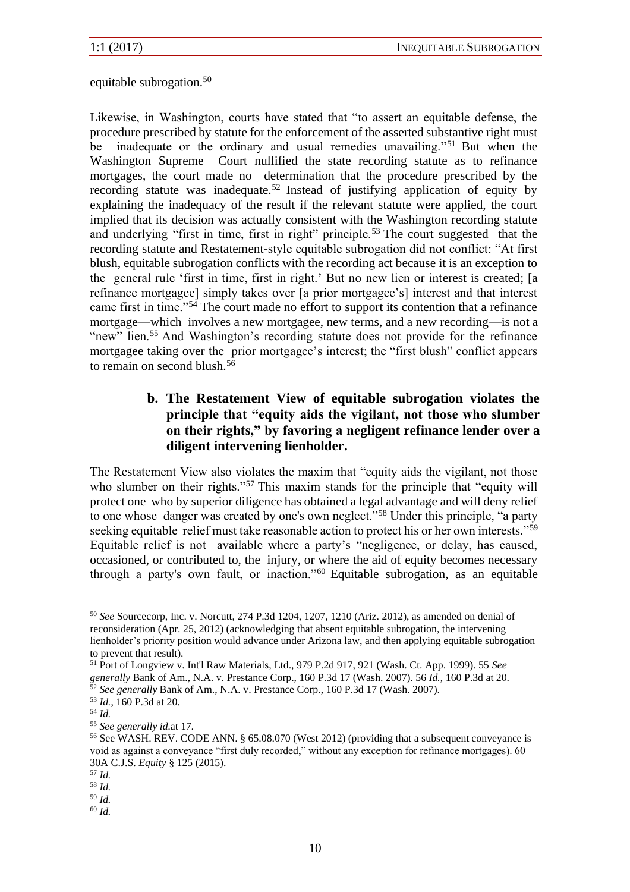equitable subrogation.<sup>50</sup>

Likewise, in Washington, courts have stated that "to assert an equitable defense, the procedure prescribed by statute for the enforcement of the asserted substantive right must be inadequate or the ordinary and usual remedies unavailing."<sup>51</sup> But when the Washington Supreme Court nullified the state recording statute as to refinance mortgages, the court made no determination that the procedure prescribed by the recording statute was inadequate.<sup>52</sup> Instead of justifying application of equity by explaining the inadequacy of the result if the relevant statute were applied, the court implied that its decision was actually consistent with the Washington recording statute and underlying "first in time, first in right" principle.<sup>53</sup> The court suggested that the recording statute and Restatement-style equitable subrogation did not conflict: "At first blush, equitable subrogation conflicts with the recording act because it is an exception to the general rule 'first in time, first in right.' But no new lien or interest is created; [a refinance mortgagee] simply takes over [a prior mortgagee's] interest and that interest came first in time."<sup>54</sup> The court made no effort to support its contention that a refinance mortgage—which involves a new mortgagee, new terms, and a new recording—is not a "new" lien.<sup>55</sup> And Washington's recording statute does not provide for the refinance mortgagee taking over the prior mortgagee's interest; the "first blush" conflict appears to remain on second blush.<sup>56</sup>

### **b. The Restatement View of equitable subrogation violates the principle that "equity aids the vigilant, not those who slumber on their rights," by favoring a negligent refinance lender over a diligent intervening lienholder.**

The Restatement View also violates the maxim that "equity aids the vigilant, not those who slumber on their rights."<sup>57</sup> This maxim stands for the principle that "equity will protect one who by superior diligence has obtained a legal advantage and will deny relief to one whose danger was created by one's own neglect."<sup>58</sup> Under this principle, "a party seeking equitable relief must take reasonable action to protect his or her own interests."<sup>59</sup> Equitable relief is not available where a party's "negligence, or delay, has caused, occasioned, or contributed to, the injury, or where the aid of equity becomes necessary through a party's own fault, or inaction."<sup>60</sup> Equitable subrogation, as an equitable

<sup>50</sup> *See* Sourcecorp, Inc. v. Norcutt, 274 P.3d 1204, 1207, 1210 (Ariz. 2012), as amended on denial of reconsideration (Apr. 25, 2012) (acknowledging that absent equitable subrogation, the intervening lienholder's priority position would advance under Arizona law, and then applying equitable subrogation to prevent that result).

<sup>51</sup> Port of Longview v. Int'l Raw Materials, Ltd., 979 P.2d 917, 921 (Wash. Ct. App. 1999). 55 *See generally* Bank of Am., N.A. v. Prestance Corp., 160 P.3d 17 (Wash. 2007). 56 *Id.*, 160 P.3d at 20. <sup>52</sup> *See generally* Bank of Am., N.A. v. Prestance Corp., 160 P.3d 17 (Wash. 2007).

<sup>53</sup> *Id.*, 160 P.3d at 20.

<sup>54</sup> *Id.*

<sup>55</sup> *See generally id.*at 17*.*

<sup>56</sup> See WASH. REV. CODE ANN. § 65.08.070 (West 2012) (providing that a subsequent conveyance is void as against a conveyance "first duly recorded," without any exception for refinance mortgages). 60 30A C.J.S. *Equity* § 125 (2015).

<sup>57</sup> *Id.*

<sup>58</sup> *Id.*

<sup>59</sup> *Id.*

<sup>60</sup> *Id.*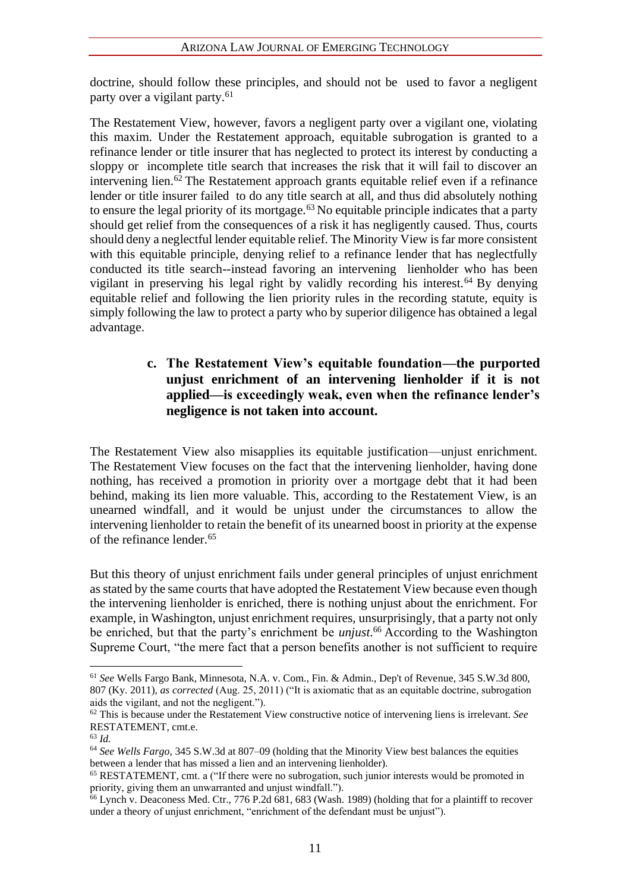doctrine, should follow these principles, and should not be used to favor a negligent party over a vigilant party.<sup>61</sup>

The Restatement View, however, favors a negligent party over a vigilant one, violating this maxim. Under the Restatement approach, equitable subrogation is granted to a refinance lender or title insurer that has neglected to protect its interest by conducting a sloppy or incomplete title search that increases the risk that it will fail to discover an intervening lien.<sup> $62$ </sup> The Restatement approach grants equitable relief even if a refinance lender or title insurer failed to do any title search at all, and thus did absolutely nothing to ensure the legal priority of its mortgage.<sup> $63$ </sup> No equitable principle indicates that a party should get relief from the consequences of a risk it has negligently caused. Thus, courts should deny a neglectful lender equitable relief. The Minority View is far more consistent with this equitable principle, denying relief to a refinance lender that has neglectfully conducted its title search--instead favoring an intervening lienholder who has been vigilant in preserving his legal right by validly recording his interest.<sup>64</sup> By denying equitable relief and following the lien priority rules in the recording statute, equity is simply following the law to protect a party who by superior diligence has obtained a legal advantage.

### **c. The Restatement View's equitable foundation—the purported unjust enrichment of an intervening lienholder if it is not applied—is exceedingly weak, even when the refinance lender's negligence is not taken into account.**

The Restatement View also misapplies its equitable justification—unjust enrichment. The Restatement View focuses on the fact that the intervening lienholder, having done nothing, has received a promotion in priority over a mortgage debt that it had been behind, making its lien more valuable. This, according to the Restatement View, is an unearned windfall, and it would be unjust under the circumstances to allow the intervening lienholder to retain the benefit of its unearned boost in priority at the expense of the refinance lender.<sup>65</sup>

But this theory of unjust enrichment fails under general principles of unjust enrichment as stated by the same courts that have adopted the Restatement View because even though the intervening lienholder is enriched, there is nothing unjust about the enrichment. For example, in Washington, unjust enrichment requires, unsurprisingly, that a party not only be enriched, but that the party's enrichment be *unjust*. <sup>66</sup> According to the Washington Supreme Court, "the mere fact that a person benefits another is not sufficient to require

<sup>61</sup> *See* Wells Fargo Bank, Minnesota, N.A. v. Com., Fin. & Admin., Dep't of Revenue, 345 S.W.3d 800, 807 (Ky. 2011), *as corrected* (Aug. 25, 2011) ("It is axiomatic that as an equitable doctrine, subrogation aids the vigilant, and not the negligent.").

<sup>62</sup> This is because under the Restatement View constructive notice of intervening liens is irrelevant. *See*  RESTATEMENT, cmt.e.

<sup>63</sup> *Id.*

<sup>64</sup> *See Wells Fargo*, 345 S.W.3d at 807–09 (holding that the Minority View best balances the equities between a lender that has missed a lien and an intervening lienholder).

<sup>65</sup> RESTATEMENT, cmt. a ("If there were no subrogation, such junior interests would be promoted in priority, giving them an unwarranted and unjust windfall.").

 $66$  Lynch v. Deaconess Med. Ctr., 776 P.2d  $681, 683$  (Wash. 1989) (holding that for a plaintiff to recover under a theory of unjust enrichment, "enrichment of the defendant must be unjust").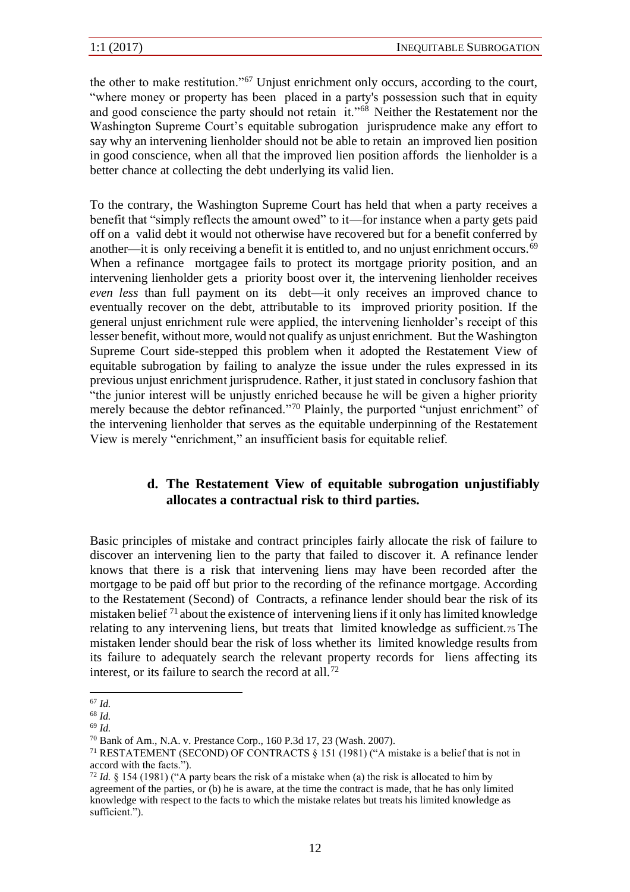the other to make restitution."<sup>67</sup> Unjust enrichment only occurs, according to the court, "where money or property has been placed in a party's possession such that in equity and good conscience the party should not retain it."<sup>68</sup> Neither the Restatement nor the Washington Supreme Court's equitable subrogation jurisprudence make any effort to say why an intervening lienholder should not be able to retain an improved lien position in good conscience, when all that the improved lien position affords the lienholder is a better chance at collecting the debt underlying its valid lien.

To the contrary, the Washington Supreme Court has held that when a party receives a benefit that "simply reflects the amount owed" to it—for instance when a party gets paid off on a valid debt it would not otherwise have recovered but for a benefit conferred by another—it is only receiving a benefit it is entitled to, and no unjust enrichment occurs.<sup>69</sup> When a refinance mortgagee fails to protect its mortgage priority position, and an intervening lienholder gets a priority boost over it, the intervening lienholder receives *even less* than full payment on its debt—it only receives an improved chance to eventually recover on the debt, attributable to its improved priority position. If the general unjust enrichment rule were applied, the intervening lienholder's receipt of this lesser benefit, without more, would not qualify as unjust enrichment. But the Washington Supreme Court side-stepped this problem when it adopted the Restatement View of equitable subrogation by failing to analyze the issue under the rules expressed in its previous unjust enrichment jurisprudence. Rather, it just stated in conclusory fashion that "the junior interest will be unjustly enriched because he will be given a higher priority merely because the debtor refinanced."<sup>70</sup> Plainly, the purported "unjust enrichment" of the intervening lienholder that serves as the equitable underpinning of the Restatement View is merely "enrichment," an insufficient basis for equitable relief.

#### **d. The Restatement View of equitable subrogation unjustifiably allocates a contractual risk to third parties.**

Basic principles of mistake and contract principles fairly allocate the risk of failure to discover an intervening lien to the party that failed to discover it. A refinance lender knows that there is a risk that intervening liens may have been recorded after the mortgage to be paid off but prior to the recording of the refinance mortgage. According to the Restatement (Second) of Contracts, a refinance lender should bear the risk of its mistaken belief <sup>71</sup> about the existence of intervening liens if it only has limited knowledge relating to any intervening liens, but treats that limited knowledge as sufficient.75 The mistaken lender should bear the risk of loss whether its limited knowledge results from its failure to adequately search the relevant property records for liens affecting its interest, or its failure to search the record at all.<sup>72</sup>

<sup>67</sup> *Id.*

<sup>68</sup> *Id.*

<sup>69</sup> *Id.*

<sup>70</sup> Bank of Am., N.A. v. Prestance Corp., 160 P.3d 17, 23 (Wash. 2007).

<sup>71</sup> RESTATEMENT (SECOND) OF CONTRACTS § 151 (1981) ("A mistake is a belief that is not in accord with the facts.").

<sup>72</sup> *Id.* § 154 (1981) ("A party bears the risk of a mistake when (a) the risk is allocated to him by agreement of the parties, or (b) he is aware, at the time the contract is made, that he has only limited knowledge with respect to the facts to which the mistake relates but treats his limited knowledge as sufficient.").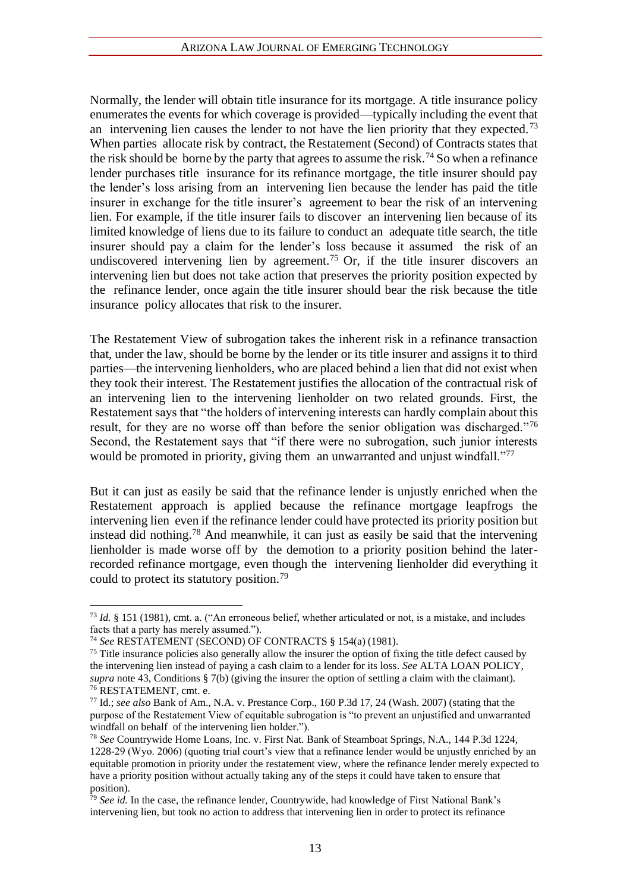Normally, the lender will obtain title insurance for its mortgage. A title insurance policy enumerates the events for which coverage is provided—typically including the event that an intervening lien causes the lender to not have the lien priority that they expected.<sup>73</sup> When parties allocate risk by contract, the Restatement (Second) of Contracts states that the risk should be borne by the party that agrees to assume the risk.<sup>74</sup> So when a refinance lender purchases title insurance for its refinance mortgage, the title insurer should pay the lender's loss arising from an intervening lien because the lender has paid the title insurer in exchange for the title insurer's agreement to bear the risk of an intervening lien. For example, if the title insurer fails to discover an intervening lien because of its limited knowledge of liens due to its failure to conduct an adequate title search, the title insurer should pay a claim for the lender's loss because it assumed the risk of an undiscovered intervening lien by agreement.<sup>75</sup> Or, if the title insurer discovers an intervening lien but does not take action that preserves the priority position expected by the refinance lender, once again the title insurer should bear the risk because the title insurance policy allocates that risk to the insurer.

The Restatement View of subrogation takes the inherent risk in a refinance transaction that, under the law, should be borne by the lender or its title insurer and assigns it to third parties—the intervening lienholders, who are placed behind a lien that did not exist when they took their interest. The Restatement justifies the allocation of the contractual risk of an intervening lien to the intervening lienholder on two related grounds. First, the Restatement says that "the holders of intervening interests can hardly complain about this result, for they are no worse off than before the senior obligation was discharged."<sup>76</sup> Second, the Restatement says that "if there were no subrogation, such junior interests would be promoted in priority, giving them an unwarranted and unjust windfall."<sup>77</sup>

But it can just as easily be said that the refinance lender is unjustly enriched when the Restatement approach is applied because the refinance mortgage leapfrogs the intervening lien even if the refinance lender could have protected its priority position but instead did nothing.<sup>78</sup> And meanwhile, it can just as easily be said that the intervening lienholder is made worse off by the demotion to a priority position behind the laterrecorded refinance mortgage, even though the intervening lienholder did everything it could to protect its statutory position.<sup>79</sup>

<sup>73</sup> *Id.* § 151 (1981), cmt. a. ("An erroneous belief, whether articulated or not, is a mistake, and includes facts that a party has merely assumed.").

<sup>74</sup> *See* RESTATEMENT (SECOND) OF CONTRACTS § 154(a) (1981).

<sup>&</sup>lt;sup>75</sup> Title insurance policies also generally allow the insurer the option of fixing the title defect caused by the intervening lien instead of paying a cash claim to a lender for its loss. *See* ALTA LOAN POLICY, *supra* note 43, Conditions § 7(b) (giving the insurer the option of settling a claim with the claimant). <sup>76</sup> RESTATEMENT, cmt. e.

<sup>77</sup> Id.; *see also* Bank of Am., N.A. v. Prestance Corp., 160 P.3d 17, 24 (Wash. 2007) (stating that the purpose of the Restatement View of equitable subrogation is "to prevent an unjustified and unwarranted windfall on behalf of the intervening lien holder.").

<sup>78</sup> *See* Countrywide Home Loans, Inc. v. First Nat. Bank of Steamboat Springs, N.A., 144 P.3d 1224, 1228-29 (Wyo. 2006) (quoting trial court's view that a refinance lender would be unjustly enriched by an equitable promotion in priority under the restatement view, where the refinance lender merely expected to have a priority position without actually taking any of the steps it could have taken to ensure that position).

<sup>79</sup> *See id.* In the case, the refinance lender, Countrywide, had knowledge of First National Bank's intervening lien, but took no action to address that intervening lien in order to protect its refinance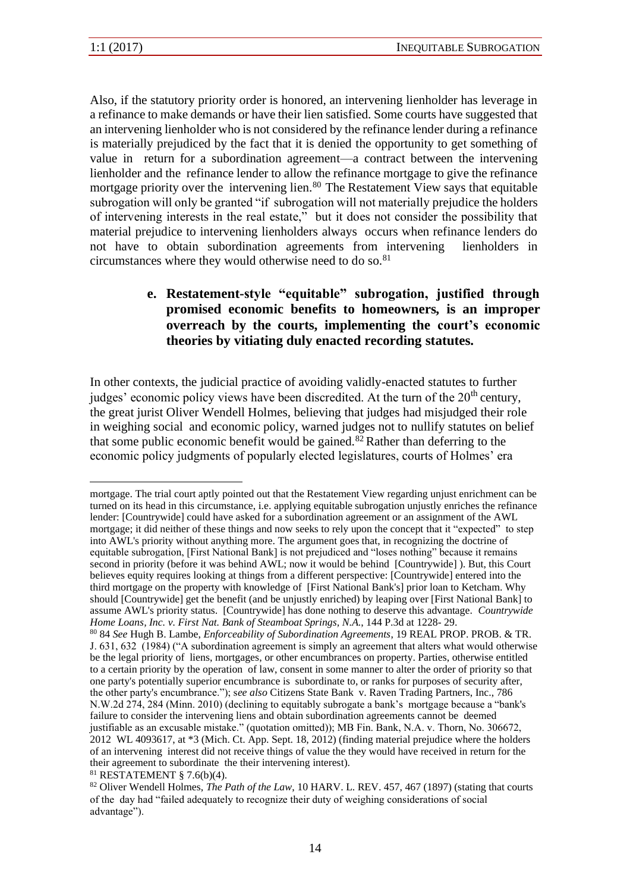Also, if the statutory priority order is honored, an intervening lienholder has leverage in a refinance to make demands or have their lien satisfied. Some courts have suggested that an intervening lienholder who is not considered by the refinance lender during a refinance is materially prejudiced by the fact that it is denied the opportunity to get something of value in return for a subordination agreement—a contract between the intervening lienholder and the refinance lender to allow the refinance mortgage to give the refinance mortgage priority over the intervening lien.<sup>80</sup> The Restatement View says that equitable subrogation will only be granted "if subrogation will not materially prejudice the holders of intervening interests in the real estate," but it does not consider the possibility that material prejudice to intervening lienholders always occurs when refinance lenders do not have to obtain subordination agreements from intervening lienholders in circumstances where they would otherwise need to do so.<sup>81</sup>

#### **e. Restatement-style "equitable" subrogation, justified through promised economic benefits to homeowners, is an improper overreach by the courts, implementing the court's economic theories by vitiating duly enacted recording statutes.**

In other contexts, the judicial practice of avoiding validly-enacted statutes to further judges' economic policy views have been discredited. At the turn of the  $20<sup>th</sup>$  century, the great jurist Oliver Wendell Holmes, believing that judges had misjudged their role in weighing social and economic policy, warned judges not to nullify statutes on belief that some public economic benefit would be gained.<sup>82</sup> Rather than deferring to the economic policy judgments of popularly elected legislatures, courts of Holmes' era

mortgage. The trial court aptly pointed out that the Restatement View regarding unjust enrichment can be turned on its head in this circumstance, i.e. applying equitable subrogation unjustly enriches the refinance lender: [Countrywide] could have asked for a subordination agreement or an assignment of the AWL mortgage; it did neither of these things and now seeks to rely upon the concept that it "expected" to step into AWL's priority without anything more. The argument goes that, in recognizing the doctrine of equitable subrogation, [First National Bank] is not prejudiced and "loses nothing" because it remains second in priority (before it was behind AWL; now it would be behind [Countrywide] ). But, this Court believes equity requires looking at things from a different perspective: [Countrywide] entered into the third mortgage on the property with knowledge of [First National Bank's] prior loan to Ketcham. Why should [Countrywide] get the benefit (and be unjustly enriched) by leaping over [First National Bank] to assume AWL's priority status. [Countrywide] has done nothing to deserve this advantage. *Countrywide Home Loans, Inc. v. First Nat. Bank of Steamboat Springs, N.A.*, 144 P.3d at 1228- 29.

<sup>80</sup> 84 *See* Hugh B. Lambe, *Enforceability of Subordination Agreements*, 19 REAL PROP. PROB. & TR. J. 631, 632 (1984) ("A subordination agreement is simply an agreement that alters what would otherwise be the legal priority of liens, mortgages, or other encumbrances on property. Parties, otherwise entitled to a certain priority by the operation of law, consent in some manner to alter the order of priority so that one party's potentially superior encumbrance is subordinate to, or ranks for purposes of security after, the other party's encumbrance."); s*ee also* Citizens State Bank v. Raven Trading Partners, Inc., 786 N.W.2d 274, 284 (Minn. 2010) (declining to equitably subrogate a bank's mortgage because a "bank's failure to consider the intervening liens and obtain subordination agreements cannot be deemed justifiable as an excusable mistake." (quotation omitted)); MB Fin. Bank, N.A. v. Thorn, No. 306672, 2012 WL 4093617, at \*3 (Mich. Ct. App. Sept. 18, 2012) (finding material prejudice where the holders of an intervening interest did not receive things of value the they would have received in return for the their agreement to subordinate the their intervening interest). <sup>81</sup> RESTATEMENT § 7.6(b)(4).

<sup>82</sup> Oliver Wendell Holmes, *The Path of the Law*, 10 HARV. L. REV. 457, 467 (1897) (stating that courts of the day had "failed adequately to recognize their duty of weighing considerations of social advantage").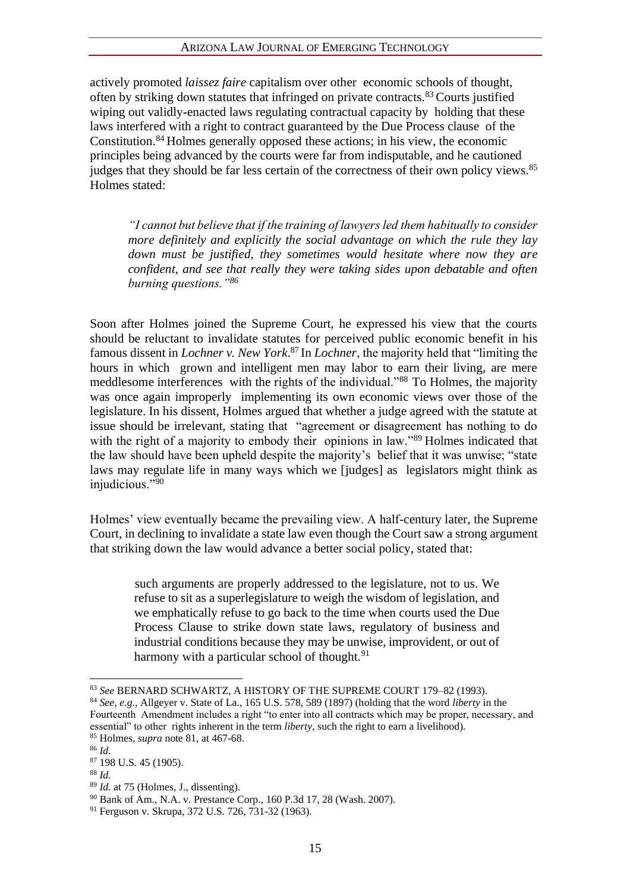#### ARIZONA LAW JOURNAL OF EMERGING TECHNOLOGY

actively promoted *laissez faire* capitalism over other economic schools of thought, often by striking down statutes that infringed on private contracts.<sup>83</sup> Courts justified wiping out validly-enacted laws regulating contractual capacity by holding that these laws interfered with a right to contract guaranteed by the Due Process clause of the Constitution.<sup>84</sup> Holmes generally opposed these actions; in his view, the economic principles being advanced by the courts were far from indisputable, and he cautioned judges that they should be far less certain of the correctness of their own policy views.<sup>85</sup> Holmes stated:

*"I cannot but believe that if the training of lawyers led them habitually to consider more definitely and explicitly the social advantage on which the rule they lay down must be justified, they sometimes would hesitate where now they are confident, and see that really they were taking sides upon debatable and often burning questions."<sup>86</sup>*

Soon after Holmes joined the Supreme Court, he expressed his view that the courts should be reluctant to invalidate statutes for perceived public economic benefit in his famous dissent in *Lochner v. New York*. <sup>87</sup> In *Lochner*, the majority held that "limiting the hours in which grown and intelligent men may labor to earn their living, are mere meddlesome interferences with the rights of the individual."<sup>88</sup> To Holmes, the majority was once again improperly implementing its own economic views over those of the legislature. In his dissent, Holmes argued that whether a judge agreed with the statute at issue should be irrelevant, stating that "agreement or disagreement has nothing to do with the right of a majority to embody their opinions in law."<sup>89</sup> Holmes indicated that the law should have been upheld despite the majority's belief that it was unwise; "state laws may regulate life in many ways which we [judges] as legislators might think as injudicious."90

Holmes' view eventually became the prevailing view. A half-century later, the Supreme Court, in declining to invalidate a state law even though the Court saw a strong argument that striking down the law would advance a better social policy, stated that:

such arguments are properly addressed to the legislature, not to us. We refuse to sit as a superlegislature to weigh the wisdom of legislation, and we emphatically refuse to go back to the time when courts used the Due Process Clause to strike down state laws, regulatory of business and industrial conditions because they may be unwise, improvident, or out of harmony with a particular school of thought. $91$ 

<sup>83</sup> *See* BERNARD SCHWARTZ, A HISTORY OF THE SUPREME COURT 179–82 (1993).

<sup>84</sup> *See*, *e.g.*, Allgeyer v. State of La., 165 U.S. 578, 589 (1897) (holding that the word *liberty* in the Fourteenth Amendment includes a right "to enter into all contracts which may be proper, necessary, and essential" to other rights inherent in the term *liberty*, such the right to earn a livelihood). <sup>85</sup> Holmes, *supra* note 81, at 467-68.

<sup>86</sup> *Id.*

<sup>87</sup> 198 U.S. 45 (1905).

<sup>88</sup> *Id.*

<sup>89</sup> *Id.* at 75 (Holmes, J., dissenting).

<sup>90</sup> Bank of Am., N.A. v. Prestance Corp., 160 P.3d 17, 28 (Wash. 2007).

<sup>91</sup> Ferguson v. Skrupa, 372 U.S. 726, 731-32 (1963).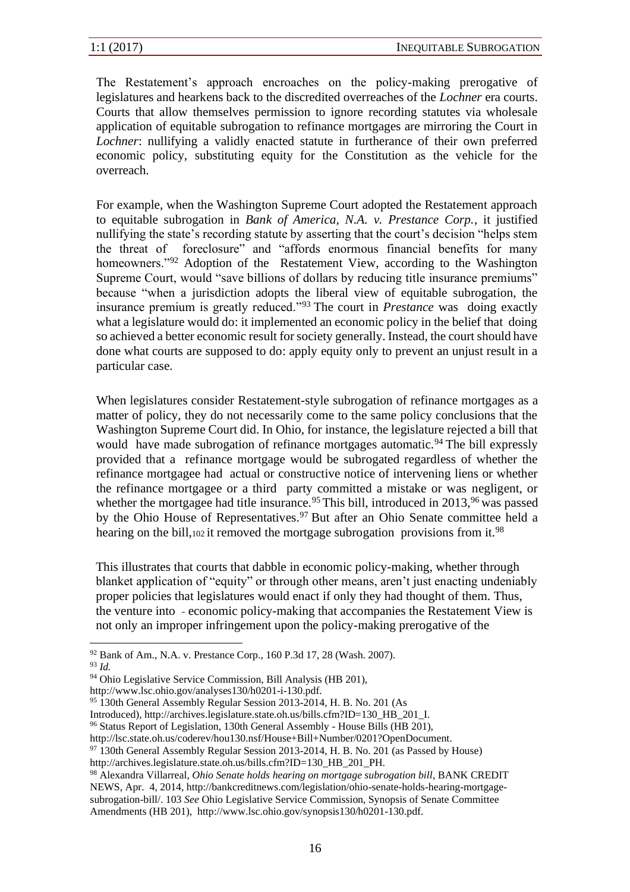The Restatement's approach encroaches on the policy-making prerogative of legislatures and hearkens back to the discredited overreaches of the *Lochner* era courts. Courts that allow themselves permission to ignore recording statutes via wholesale application of equitable subrogation to refinance mortgages are mirroring the Court in *Lochner*: nullifying a validly enacted statute in furtherance of their own preferred economic policy, substituting equity for the Constitution as the vehicle for the overreach.

For example, when the Washington Supreme Court adopted the Restatement approach to equitable subrogation in *Bank of America, N.A. v. Prestance Corp.*, it justified nullifying the state's recording statute by asserting that the court's decision "helps stem the threat of foreclosure" and "affords enormous financial benefits for many homeowners."<sup>92</sup> Adoption of the Restatement View, according to the Washington Supreme Court, would "save billions of dollars by reducing title insurance premiums" because "when a jurisdiction adopts the liberal view of equitable subrogation, the insurance premium is greatly reduced."<sup>93</sup> The court in *Prestance* was doing exactly what a legislature would do: it implemented an economic policy in the belief that doing so achieved a better economic result for society generally. Instead, the court should have done what courts are supposed to do: apply equity only to prevent an unjust result in a particular case.

When legislatures consider Restatement-style subrogation of refinance mortgages as a matter of policy, they do not necessarily come to the same policy conclusions that the Washington Supreme Court did. In Ohio, for instance, the legislature rejected a bill that would have made subrogation of refinance mortgages automatic.<sup>94</sup> The bill expressly provided that a refinance mortgage would be subrogated regardless of whether the refinance mortgagee had actual or constructive notice of intervening liens or whether the refinance mortgagee or a third party committed a mistake or was negligent, or whether the mortgagee had title insurance.<sup>95</sup> This bill, introduced in 2013,<sup>96</sup> was passed by the Ohio House of Representatives.<sup>97</sup> But after an Ohio Senate committee held a hearing on the bill,102 it removed the mortgage subrogation provisions from it.<sup>98</sup>

This illustrates that courts that dabble in economic policy-making, whether through blanket application of "equity" or through other means, aren't just enacting undeniably proper policies that legislatures would enact if only they had thought of them. Thus, the venture into - economic policy-making that accompanies the Restatement View is not only an improper infringement upon the policy-making prerogative of the

<sup>92</sup> Bank of Am., N.A. v. Prestance Corp., 160 P.3d 17, 28 (Wash. 2007).

<sup>93</sup> *Id.*

<sup>94</sup> Ohio Legislative Service Commission, Bill Analysis (HB 201),

http://www.lsc.ohio.gov/analyses130/h0201-i-130.pdf.

<sup>&</sup>lt;sup>95</sup> 130th General Assembly Regular Session 2013-2014, H. B. No. 201 (As

Introduced), http://archives.legislature.state.oh.us/bills.cfm?ID=130\_HB\_201\_I.

<sup>96</sup> Status Report of Legislation, 130th General Assembly - House Bills (HB 201),

http://lsc.state.oh.us/coderev/hou130.nsf/House+Bill+Number/0201?OpenDocument.

<sup>97</sup> 130th General Assembly Regular Session 2013-2014, H. B. No. 201 (as Passed by House)

http://archives.legislature.state.oh.us/bills.cfm?ID=130\_HB\_201\_PH.

<sup>98</sup> Alexandra Villarreal, *Ohio Senate holds hearing on mortgage subrogation bill*, BANK CREDIT NEWS, Apr. 4, 2014, http://bankcreditnews.com/legislation/ohio-senate-holds-hearing-mortgagesubrogation-bill/. 103 *See* Ohio Legislative Service Commission, Synopsis of Senate Committee Amendments (HB 201), http://www.lsc.ohio.gov/synopsis130/h0201-130.pdf.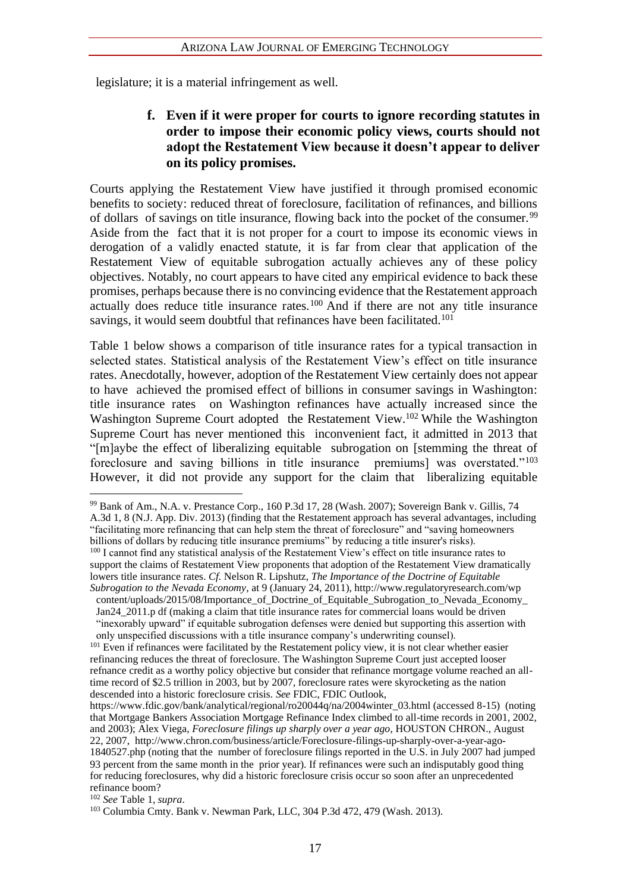legislature; it is a material infringement as well.

#### **f. Even if it were proper for courts to ignore recording statutes in order to impose their economic policy views, courts should not adopt the Restatement View because it doesn't appear to deliver on its policy promises.**

Courts applying the Restatement View have justified it through promised economic benefits to society: reduced threat of foreclosure, facilitation of refinances, and billions of dollars of savings on title insurance, flowing back into the pocket of the consumer.<sup>99</sup> Aside from the fact that it is not proper for a court to impose its economic views in derogation of a validly enacted statute, it is far from clear that application of the Restatement View of equitable subrogation actually achieves any of these policy objectives. Notably, no court appears to have cited any empirical evidence to back these promises, perhaps because there is no convincing evidence that the Restatement approach actually does reduce title insurance rates.<sup>100</sup> And if there are not any title insurance savings, it would seem doubtful that refinances have been facilitated.<sup>101</sup>

Table 1 below shows a comparison of title insurance rates for a typical transaction in selected states. Statistical analysis of the Restatement View's effect on title insurance rates. Anecdotally, however, adoption of the Restatement View certainly does not appear to have achieved the promised effect of billions in consumer savings in Washington: title insurance rates on Washington refinances have actually increased since the Washington Supreme Court adopted the Restatement View.<sup>102</sup> While the Washington Supreme Court has never mentioned this inconvenient fact, it admitted in 2013 that "[m]aybe the effect of liberalizing equitable subrogation on [stemming the threat of foreclosure and saving billions in title insurance premiums] was overstated."<sup>103</sup> However, it did not provide any support for the claim that liberalizing equitable

<sup>99</sup> Bank of Am., N.A. v. Prestance Corp., 160 P.3d 17, 28 (Wash. 2007); Sovereign Bank v. Gillis, 74 A.3d 1, 8 (N.J. App. Div. 2013) (finding that the Restatement approach has several advantages, including "facilitating more refinancing that can help stem the threat of foreclosure" and "saving homeowners billions of dollars by reducing title insurance premiums" by reducing a title insurer's risks). <sup>100</sup> I cannot find any statistical analysis of the Restatement View's effect on title insurance rates to support the claims of Restatement View proponents that adoption of the Restatement View dramatically lowers title insurance rates. *Cf.* Nelson R. Lipshutz, *The Importance of the Doctrine of Equitable Subrogation to the Nevada Economy*, at 9 (January 24, 2011), http://www.regulatoryresearch.com/wp

content/uploads/2015/08/Importance of Doctrine of Equitable Subrogation to Nevada Economy Jan24  $2011$ .p df (making a claim that title insurance rates for commercial loans would be driven

<sup>&</sup>quot;inexorably upward" if equitable subrogation defenses were denied but supporting this assertion with only unspecified discussions with a title insurance company's underwriting counsel).

<sup>&</sup>lt;sup>101</sup> Even if refinances were facilitated by the Restatement policy view, it is not clear whether easier refinancing reduces the threat of foreclosure. The Washington Supreme Court just accepted looser refnance credit as a worthy policy objective but consider that refinance mortgage volume reached an alltime record of \$2.5 trillion in 2003, but by 2007, foreclosure rates were skyrocketing as the nation descended into a historic foreclosure crisis. *See* FDIC, FDIC Outlook,

https://www.fdic.gov/bank/analytical/regional/ro20044q/na/2004winter\_03.html (accessed 8-15) (noting that Mortgage Bankers Association Mortgage Refinance Index climbed to all-time records in 2001, 2002, and 2003); Alex Viega, *Foreclosure filings up sharply over a year ago*, HOUSTON CHRON., August 22, 2007, http://www.chron.com/business/article/Foreclosure-filings-up-sharply-over-a-year-ago-1840527.php (noting that the number of foreclosure filings reported in the U.S. in July 2007 had jumped 93 percent from the same month in the prior year). If refinances were such an indisputably good thing for reducing foreclosures, why did a historic foreclosure crisis occur so soon after an unprecedented refinance boom?

<sup>102</sup> *See* Table 1, *supra*.

<sup>103</sup> Columbia Cmty. Bank v. Newman Park, LLC, 304 P.3d 472, 479 (Wash. 2013).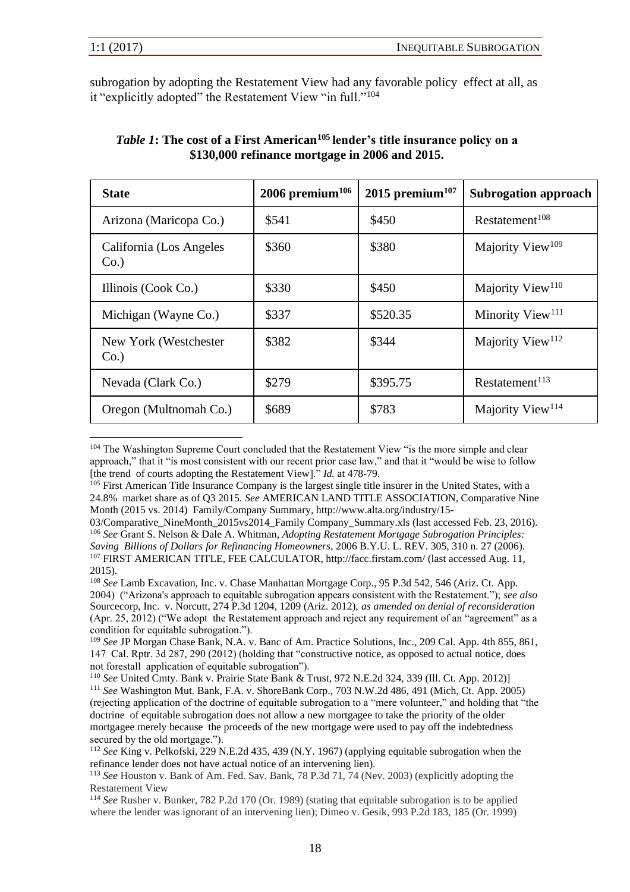subrogation by adopting the Restatement View had any favorable policy effect at all, as it "explicitly adopted" the Restatement View "in full."<sup>104</sup>

| <b>State</b>                        | $2006$ premium <sup>106</sup> | 2015 premium $107$ | <b>Subrogation approach</b>  |
|-------------------------------------|-------------------------------|--------------------|------------------------------|
| Arizona (Maricopa Co.)              | \$541                         | \$450              | Restatement <sup>108</sup>   |
| California (Los Angeles)<br>$Co.$ ) | \$360                         | \$380              | Majority View <sup>109</sup> |
| Illinois (Cook Co.)                 | \$330                         | \$450              | Majority View <sup>110</sup> |
| Michigan (Wayne Co.)                | \$337                         | \$520.35           | Minority View <sup>111</sup> |
| New York (Westchester<br>$Co.$ )    | \$382                         | \$344              | Majority View <sup>112</sup> |
| Nevada (Clark Co.)                  | \$279                         | \$395.75           | Restatement <sup>113</sup>   |
| Oregon (Multnomah Co.)              | \$689                         | \$783              | Majority View <sup>114</sup> |

#### *Table 1***: The cost of a First American<sup>105</sup> lender's title insurance policy on a \$130,000 refinance mortgage in 2006 and 2015.**

<sup>104</sup> The Washington Supreme Court concluded that the Restatement View "is the more simple and clear approach," that it "is most consistent with our recent prior case law," and that it "would be wise to follow [the trend of courts adopting the Restatement View]." *Id.* at 478-79.

<sup>&</sup>lt;sup>105</sup> First American Title Insurance Company is the largest single title insurer in the United States, with a 24.8% market share as of Q3 2015. *See* AMERICAN LAND TITLE ASSOCIATION, Comparative Nine Month (2015 vs. 2014) Family/Company Summary, http://www.alta.org/industry/15-

<sup>03/</sup>Comparative\_NineMonth\_2015vs2014\_Family Company\_Summary.xls (last accessed Feb. 23, 2016). <sup>106</sup> *See* Grant S. Nelson & Dale A. Whitman, *Adopting Restatement Mortgage Subrogation Principles: Saving Billions of Dollars for Refinancing Homeowners*, 2006 B.Y.U. L. REV. 305, 310 n. 27 (2006).

<sup>107</sup> FIRST AMERICAN TITLE, FEE CALCULATOR, http://facc.firstam.com/ (last accessed Aug. 11, 2015).

<sup>108</sup> *See* Lamb Excavation, Inc. v. Chase Manhattan Mortgage Corp., 95 P.3d 542, 546 (Ariz. Ct. App. 2004) ("Arizona's approach to equitable subrogation appears consistent with the Restatement."); *see also*  Sourcecorp, Inc. v. Norcutt, 274 P.3d 1204, 1209 (Ariz. 2012), *as amended on denial of reconsideration*  (Apr. 25, 2012) ("We adopt the Restatement approach and reject any requirement of an "agreement" as a condition for equitable subrogation.").

<sup>109</sup> *See* JP Morgan Chase Bank, N.A. v. Banc of Am. Practice Solutions, Inc., 209 Cal. App. 4th 855, 861, 147 Cal. Rptr. 3d 287, 290 (2012) (holding that "constructive notice, as opposed to actual notice, does not forestall application of equitable subrogation").

<sup>110</sup> *See* United Cmty. Bank v. Prairie State Bank & Trust, 972 N.E.2d 324, 339 (Ill. Ct. App. 2012)] <sup>111</sup> *See* Washington Mut. Bank, F.A. v. ShoreBank Corp., 703 N.W.2d 486, 491 (Mich, Ct. App. 2005) (rejecting application of the doctrine of equitable subrogation to a "mere volunteer," and holding that "the doctrine of equitable subrogation does not allow a new mortgagee to take the priority of the older mortgagee merely because the proceeds of the new mortgage were used to pay off the indebtedness secured by the old mortgage.").

<sup>112</sup> *See* King v. Pelkofski, 229 N.E.2d 435, 439 (N.Y. 1967) (applying equitable subrogation when the refinance lender does not have actual notice of an intervening lien).

<sup>113</sup> *See* Houston v. Bank of Am. Fed. Sav. Bank, 78 P.3d 71, 74 (Nev. 2003) (explicitly adopting the Restatement View

<sup>114</sup> *See* Rusher v. Bunker, 782 P.2d 170 (Or. 1989) (stating that equitable subrogation is to be applied where the lender was ignorant of an intervening lien); Dimeo v. Gesik, 993 P.2d 183, 185 (Or. 1999)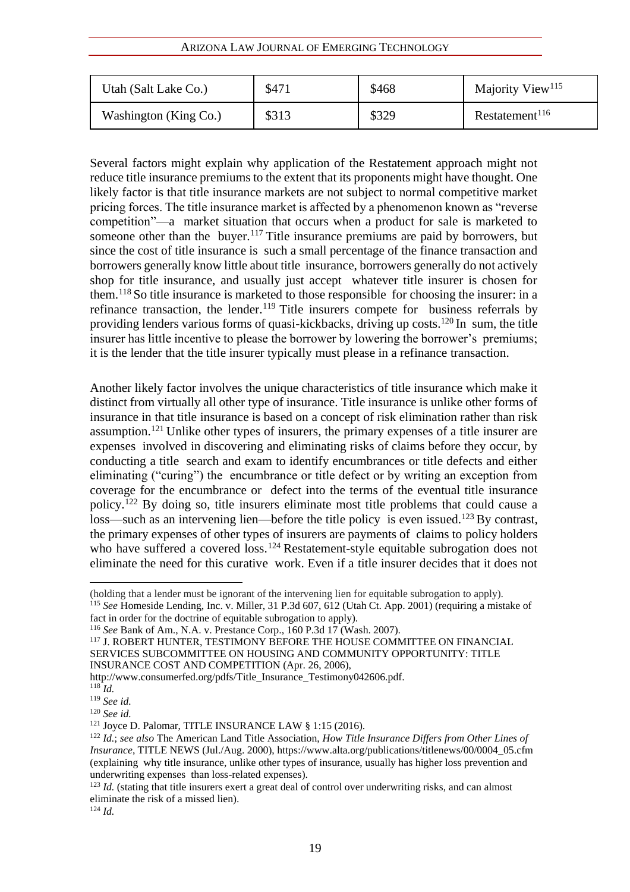#### ARIZONA LAW JOURNAL OF EMERGING TECHNOLOGY

| Utah (Salt Lake Co.)  | \$471 | \$468 | Majority View <sup>115</sup> |
|-----------------------|-------|-------|------------------------------|
| Washington (King Co.) | \$313 | \$329 | Restatement <sup>116</sup>   |

Several factors might explain why application of the Restatement approach might not reduce title insurance premiums to the extent that its proponents might have thought. One likely factor is that title insurance markets are not subject to normal competitive market pricing forces. The title insurance market is affected by a phenomenon known as "reverse competition"—a market situation that occurs when a product for sale is marketed to someone other than the buyer.<sup>117</sup> Title insurance premiums are paid by borrowers, but since the cost of title insurance is such a small percentage of the finance transaction and borrowers generally know little about title insurance, borrowers generally do not actively shop for title insurance, and usually just accept whatever title insurer is chosen for them.<sup>118</sup> So title insurance is marketed to those responsible for choosing the insurer: in a refinance transaction, the lender.<sup>119</sup> Title insurers compete for business referrals by providing lenders various forms of quasi-kickbacks, driving up costs.<sup>120</sup> In sum, the title insurer has little incentive to please the borrower by lowering the borrower's premiums; it is the lender that the title insurer typically must please in a refinance transaction.

Another likely factor involves the unique characteristics of title insurance which make it distinct from virtually all other type of insurance. Title insurance is unlike other forms of insurance in that title insurance is based on a concept of risk elimination rather than risk assumption.<sup>121</sup> Unlike other types of insurers, the primary expenses of a title insurer are expenses involved in discovering and eliminating risks of claims before they occur, by conducting a title search and exam to identify encumbrances or title defects and either eliminating ("curing") the encumbrance or title defect or by writing an exception from coverage for the encumbrance or defect into the terms of the eventual title insurance policy.<sup>122</sup> By doing so, title insurers eliminate most title problems that could cause a loss—such as an intervening lien—before the title policy is even issued.<sup>123</sup> By contrast, the primary expenses of other types of insurers are payments of claims to policy holders who have suffered a covered loss.<sup>124</sup> Restatement-style equitable subrogation does not eliminate the need for this curative work. Even if a title insurer decides that it does not

<sup>124</sup> *Id.*

<sup>(</sup>holding that a lender must be ignorant of the intervening lien for equitable subrogation to apply). <sup>115</sup> *See* Homeside Lending, Inc. v. Miller, 31 P.3d 607, 612 (Utah Ct. App. 2001) (requiring a mistake of fact in order for the doctrine of equitable subrogation to apply).

<sup>116</sup> *See* Bank of Am., N.A. v. Prestance Corp., 160 P.3d 17 (Wash. 2007).

<sup>&</sup>lt;sup>117</sup> J. ROBERT HUNTER, TESTIMONY BEFORE THE HOUSE COMMITTEE ON FINANCIAL SERVICES SUBCOMMITTEE ON HOUSING AND COMMUNITY OPPORTUNITY: TITLE INSURANCE COST AND COMPETITION (Apr. 26, 2006),

http://www.consumerfed.org/pdfs/Title\_Insurance\_Testimony042606.pdf.

<sup>118</sup> *Id.*

<sup>119</sup> *See id.* 

<sup>120</sup> *See id.* 

<sup>121</sup> Joyce D. Palomar, TITLE INSURANCE LAW § 1:15 (2016).

<sup>122</sup> *Id.*; *see also* The American Land Title Association, *How Title Insurance Differs from Other Lines of Insurance*, TITLE NEWS (Jul./Aug. 2000), https://www.alta.org/publications/titlenews/00/0004\_05.cfm (explaining why title insurance, unlike other types of insurance, usually has higher loss prevention and underwriting expenses than loss-related expenses).

<sup>&</sup>lt;sup>123</sup> *Id.* (stating that title insurers exert a great deal of control over underwriting risks, and can almost eliminate the risk of a missed lien).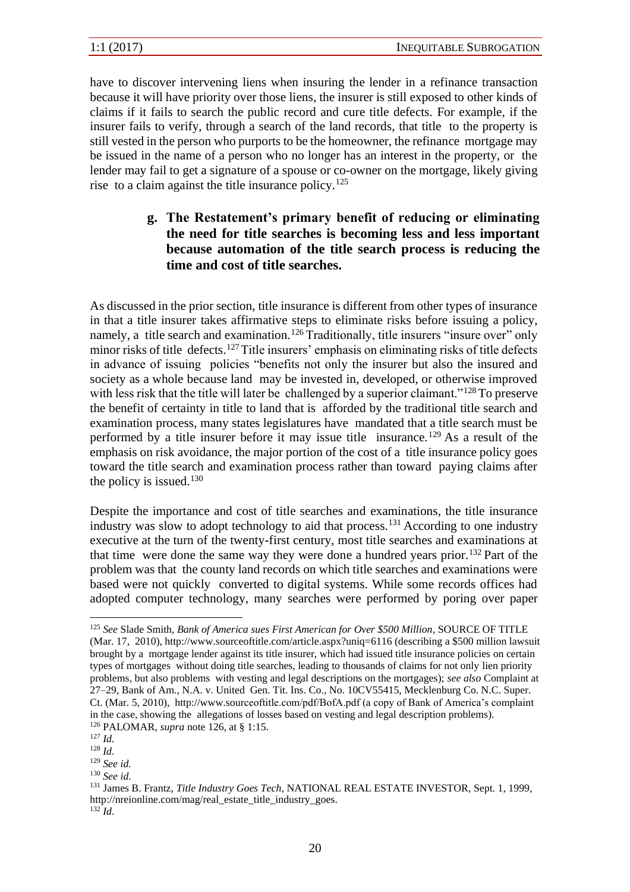have to discover intervening liens when insuring the lender in a refinance transaction because it will have priority over those liens, the insurer is still exposed to other kinds of claims if it fails to search the public record and cure title defects. For example, if the insurer fails to verify, through a search of the land records, that title to the property is still vested in the person who purports to be the homeowner, the refinance mortgage may be issued in the name of a person who no longer has an interest in the property, or the lender may fail to get a signature of a spouse or co-owner on the mortgage, likely giving rise to a claim against the title insurance policy.<sup>125</sup>

> **g. The Restatement's primary benefit of reducing or eliminating the need for title searches is becoming less and less important because automation of the title search process is reducing the time and cost of title searches.**

As discussed in the prior section, title insurance is different from other types of insurance in that a title insurer takes affirmative steps to eliminate risks before issuing a policy, namely, a title search and examination.<sup>126</sup> Traditionally, title insurers "insure over" only minor risks of title defects.<sup>127</sup>Title insurers' emphasis on eliminating risks of title defects in advance of issuing policies "benefits not only the insurer but also the insured and society as a whole because land may be invested in, developed, or otherwise improved with less risk that the title will later be challenged by a superior claimant."<sup>128</sup> To preserve the benefit of certainty in title to land that is afforded by the traditional title search and examination process, many states legislatures have mandated that a title search must be performed by a title insurer before it may issue title insurance.<sup>129</sup> As a result of the emphasis on risk avoidance, the major portion of the cost of a title insurance policy goes toward the title search and examination process rather than toward paying claims after the policy is issued.<sup>130</sup>

Despite the importance and cost of title searches and examinations, the title insurance industry was slow to adopt technology to aid that process.<sup>131</sup> According to one industry executive at the turn of the twenty-first century, most title searches and examinations at that time were done the same way they were done a hundred years prior.<sup>132</sup> Part of the problem was that the county land records on which title searches and examinations were based were not quickly converted to digital systems. While some records offices had adopted computer technology, many searches were performed by poring over paper

<sup>125</sup> *See* Slade Smith, *Bank of America sues First American for Over \$500 Million*, SOURCE OF TITLE (Mar. 17, 2010), http://www.sourceoftitle.com/article.aspx?uniq=6116 (describing a \$500 million lawsuit brought by a mortgage lender against its title insurer, which had issued title insurance policies on certain types of mortgages without doing title searches, leading to thousands of claims for not only lien priority problems, but also problems with vesting and legal descriptions on the mortgages); *see also* Complaint at 27–29, Bank of Am., N.A. v. United Gen. Tit. Ins. Co., No. 10CV55415, Mecklenburg Co. N.C. Super. Ct. (Mar. 5, 2010), http://www.sourceoftitle.com/pdf/BofA.pdf (a copy of Bank of America's complaint in the case, showing the allegations of losses based on vesting and legal description problems). <sup>126</sup> PALOMAR, *supra* note 126, at § 1:15.

<sup>127</sup> *Id.*

<sup>128</sup> *Id.*

<sup>129</sup> *See id.* 

<sup>130</sup> *See id.* 

<sup>131</sup> James B. Frantz, *Title Industry Goes Tech*, NATIONAL REAL ESTATE INVESTOR, Sept. 1, 1999, http://nreionline.com/mag/real\_estate\_title\_industry\_goes.

 $^{132}$ *Id.*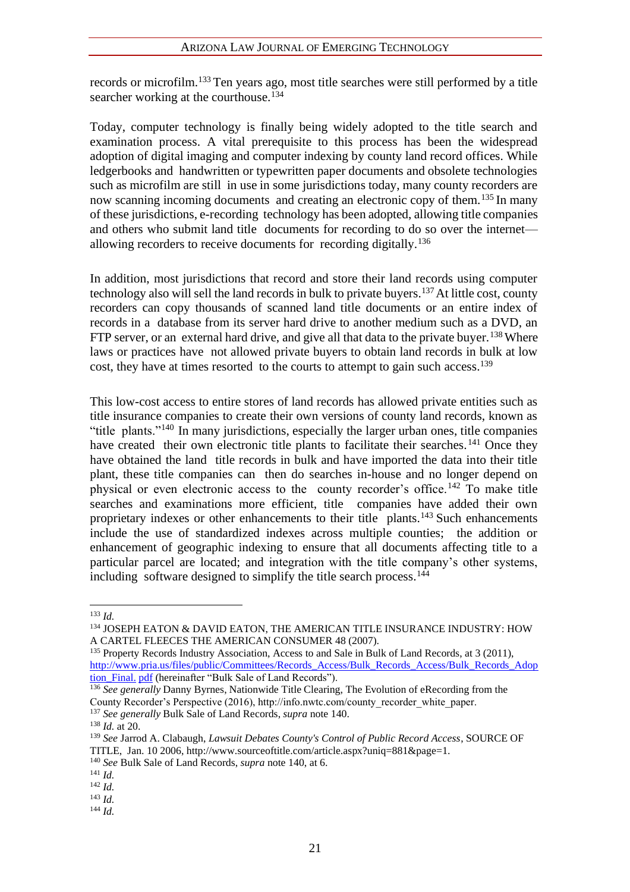records or microfilm.<sup>133</sup> Ten years ago, most title searches were still performed by a title searcher working at the courthouse.<sup>134</sup>

Today, computer technology is finally being widely adopted to the title search and examination process. A vital prerequisite to this process has been the widespread adoption of digital imaging and computer indexing by county land record offices. While ledgerbooks and handwritten or typewritten paper documents and obsolete technologies such as microfilm are still in use in some jurisdictions today, many county recorders are now scanning incoming documents and creating an electronic copy of them.<sup>135</sup> In many of these jurisdictions, e-recording technology has been adopted, allowing title companies and others who submit land title documents for recording to do so over the internet allowing recorders to receive documents for recording digitally.<sup>136</sup>

In addition, most jurisdictions that record and store their land records using computer technology also will sell the land records in bulk to private buyers.<sup>137</sup> At little cost, county recorders can copy thousands of scanned land title documents or an entire index of records in a database from its server hard drive to another medium such as a DVD, an FTP server, or an external hard drive, and give all that data to the private buyer.<sup>138</sup> Where laws or practices have not allowed private buyers to obtain land records in bulk at low cost, they have at times resorted to the courts to attempt to gain such access.<sup>139</sup>

This low-cost access to entire stores of land records has allowed private entities such as title insurance companies to create their own versions of county land records, known as "title plants."<sup>140</sup> In many jurisdictions, especially the larger urban ones, title companies have created their own electronic title plants to facilitate their searches.<sup>141</sup> Once they have obtained the land title records in bulk and have imported the data into their title plant, these title companies can then do searches in-house and no longer depend on physical or even electronic access to the county recorder's office.<sup>142</sup> To make title searches and examinations more efficient, title companies have added their own proprietary indexes or other enhancements to their title plants.<sup>143</sup> Such enhancements include the use of standardized indexes across multiple counties; the addition or enhancement of geographic indexing to ensure that all documents affecting title to a particular parcel are located; and integration with the title company's other systems, including software designed to simplify the title search process.<sup>144</sup>

<sup>135</sup> Property Records Industry Association, Access to and Sale in Bulk of Land Records, at 3 (2011), http://www.pria.us/files/public/Committees/Records\_Access/Bulk\_Records\_Access/Bulk\_Records\_Adop tion Final. pdf (hereinafter "Bulk Sale of Land Records").

<sup>136</sup> See generally Danny Byrnes, Nationwide Title Clearing, The Evolution of eRecording from the County Recorder's Perspective (2016), http://info.nwtc.com/county\_recorder\_white\_paper.

<sup>140</sup> *See* Bulk Sale of Land Records, *supra* note 140, at 6.

 $133$  *Id.* 

<sup>134</sup> JOSEPH EATON & DAVID EATON, THE AMERICAN TITLE INSURANCE INDUSTRY: HOW A CARTEL FLEECES THE AMERICAN CONSUMER 48 (2007).

<sup>137</sup> *See generally* Bulk Sale of Land Records, *supra* note 140.

 $138$  *Id.* at 20.

<sup>139</sup> *See* Jarrod A. Clabaugh, *Lawsuit Debates County's Control of Public Record Access*, SOURCE OF TITLE, Jan. 10 2006, http://www.sourceoftitle.com/article.aspx?uniq=881&page=1.

<sup>141</sup> *Id.*

<sup>142</sup> *Id.*

<sup>143</sup> *Id.*

<sup>144</sup> *Id.*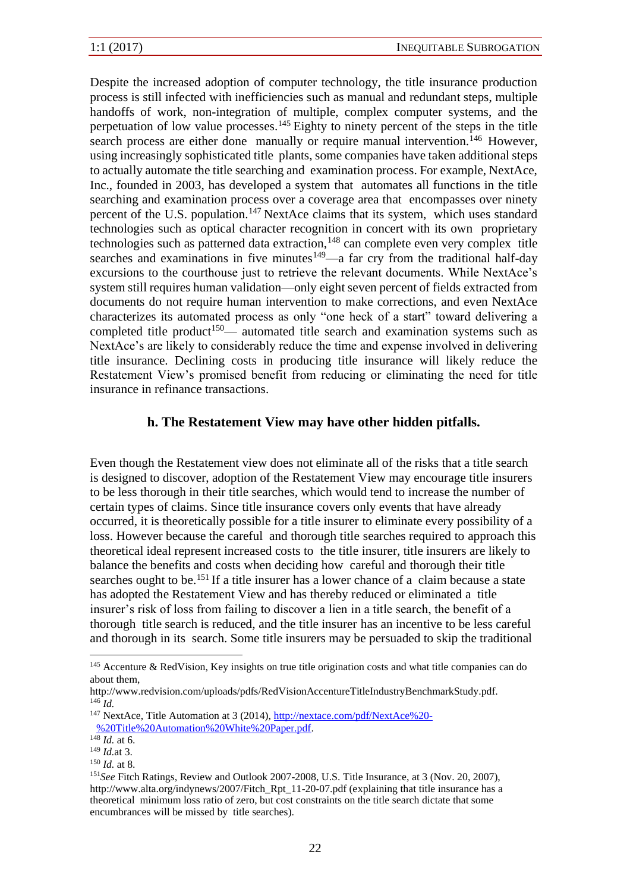Despite the increased adoption of computer technology, the title insurance production process is still infected with inefficiencies such as manual and redundant steps, multiple handoffs of work, non-integration of multiple, complex computer systems, and the perpetuation of low value processes.<sup>145</sup> Eighty to ninety percent of the steps in the title search process are either done manually or require manual intervention.<sup>146</sup> However, using increasingly sophisticated title plants, some companies have taken additional steps to actually automate the title searching and examination process. For example, NextAce, Inc., founded in 2003, has developed a system that automates all functions in the title searching and examination process over a coverage area that encompasses over ninety percent of the U.S. population.<sup>147</sup> NextAce claims that its system, which uses standard technologies such as optical character recognition in concert with its own proprietary technologies such as patterned data extraction,  $148$  can complete even very complex title searches and examinations in five minutes $149$ —a far cry from the traditional half-day excursions to the courthouse just to retrieve the relevant documents. While NextAce's system still requires human validation—only eight seven percent of fields extracted from documents do not require human intervention to make corrections, and even NextAce characterizes its automated process as only "one heck of a start" toward delivering a completed title product<sup>150</sup>— automated title search and examination systems such as NextAce's are likely to considerably reduce the time and expense involved in delivering title insurance. Declining costs in producing title insurance will likely reduce the Restatement View's promised benefit from reducing or eliminating the need for title insurance in refinance transactions.

#### **h. The Restatement View may have other hidden pitfalls.**

Even though the Restatement view does not eliminate all of the risks that a title search is designed to discover, adoption of the Restatement View may encourage title insurers to be less thorough in their title searches, which would tend to increase the number of certain types of claims. Since title insurance covers only events that have already occurred, it is theoretically possible for a title insurer to eliminate every possibility of a loss. However because the careful and thorough title searches required to approach this theoretical ideal represent increased costs to the title insurer, title insurers are likely to balance the benefits and costs when deciding how careful and thorough their title searches ought to be.<sup>151</sup> If a title insurer has a lower chance of a claim because a state has adopted the Restatement View and has thereby reduced or eliminated a title insurer's risk of loss from failing to discover a lien in a title search, the benefit of a thorough title search is reduced, and the title insurer has an incentive to be less careful and thorough in its search. Some title insurers may be persuaded to skip the traditional

<sup>145</sup> Accenture & RedVision, Key insights on true title origination costs and what title companies can do about them,

http://www.redvision.com/uploads/pdfs/RedVisionAccentureTitleIndustryBenchmarkStudy.pdf.  $^{146}$  *Id*.

<sup>&</sup>lt;sup>147</sup> NextAce, Title Automation at 3 (2014), http://nextace.com/pdf/NextAce%20-%20Title%20Automation%20White%20Paper.pdf.

 $148$  *Id.* at 6.

<sup>149</sup> *Id.*at 3.

<sup>150</sup> *Id.* at 8.

<sup>151</sup>*See* Fitch Ratings, Review and Outlook 2007-2008, U.S. Title Insurance, at 3 (Nov. 20, 2007), http://www.alta.org/indynews/2007/Fitch\_Rpt\_11-20-07.pdf (explaining that title insurance has a theoretical minimum loss ratio of zero, but cost constraints on the title search dictate that some encumbrances will be missed by title searches).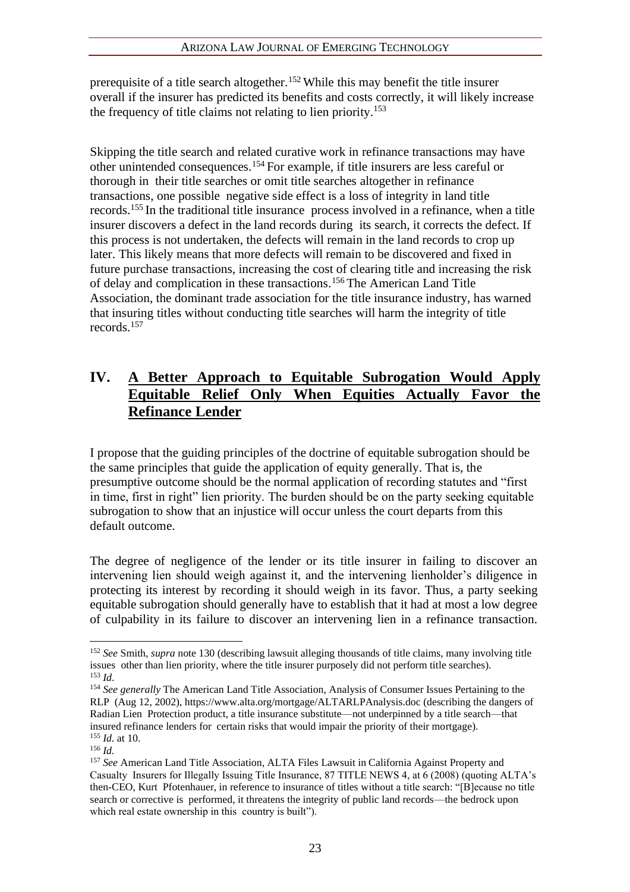prerequisite of a title search altogether.<sup>152</sup> While this may benefit the title insurer overall if the insurer has predicted its benefits and costs correctly, it will likely increase the frequency of title claims not relating to lien priority.<sup>153</sup>

Skipping the title search and related curative work in refinance transactions may have other unintended consequences.<sup>154</sup> For example, if title insurers are less careful or thorough in their title searches or omit title searches altogether in refinance transactions, one possible negative side effect is a loss of integrity in land title records.<sup>155</sup> In the traditional title insurance process involved in a refinance, when a title insurer discovers a defect in the land records during its search, it corrects the defect. If this process is not undertaken, the defects will remain in the land records to crop up later. This likely means that more defects will remain to be discovered and fixed in future purchase transactions, increasing the cost of clearing title and increasing the risk of delay and complication in these transactions.<sup>156</sup> The American Land Title Association, the dominant trade association for the title insurance industry, has warned that insuring titles without conducting title searches will harm the integrity of title records.<sup>157</sup>

## **IV. A Better Approach to Equitable Subrogation Would Apply Equitable Relief Only When Equities Actually Favor the Refinance Lender**

I propose that the guiding principles of the doctrine of equitable subrogation should be the same principles that guide the application of equity generally. That is, the presumptive outcome should be the normal application of recording statutes and "first in time, first in right" lien priority. The burden should be on the party seeking equitable subrogation to show that an injustice will occur unless the court departs from this default outcome.

The degree of negligence of the lender or its title insurer in failing to discover an intervening lien should weigh against it, and the intervening lienholder's diligence in protecting its interest by recording it should weigh in its favor. Thus, a party seeking equitable subrogation should generally have to establish that it had at most a low degree of culpability in its failure to discover an intervening lien in a refinance transaction.

<sup>152</sup> *See* Smith, *supra* note 130 (describing lawsuit alleging thousands of title claims, many involving title issues other than lien priority, where the title insurer purposely did not perform title searches). <sup>153</sup> *Id*.

<sup>154</sup> *See generally* The American Land Title Association, Analysis of Consumer Issues Pertaining to the RLP (Aug 12, 2002), https://www.alta.org/mortgage/ALTARLPAnalysis.doc (describing the dangers of Radian Lien Protection product, a title insurance substitute—not underpinned by a title search—that insured refinance lenders for certain risks that would impair the priority of their mortgage). <sup>155</sup> *Id.* at 10.

<sup>156</sup> *Id.*

<sup>157</sup> *See* American Land Title Association, ALTA Files Lawsuit in California Against Property and Casualty Insurers for Illegally Issuing Title Insurance, 87 TITLE NEWS 4, at 6 (2008) (quoting ALTA's then-CEO, Kurt Pfotenhauer, in reference to insurance of titles without a title search: "[B]ecause no title search or corrective is performed, it threatens the integrity of public land records—the bedrock upon which real estate ownership in this country is built").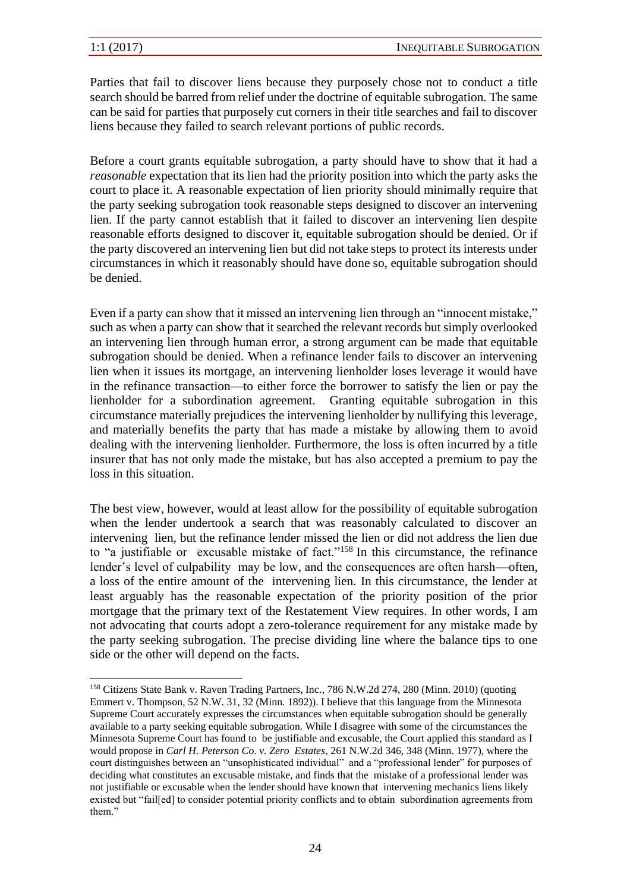Parties that fail to discover liens because they purposely chose not to conduct a title search should be barred from relief under the doctrine of equitable subrogation. The same can be said for parties that purposely cut corners in their title searches and fail to discover liens because they failed to search relevant portions of public records.

Before a court grants equitable subrogation, a party should have to show that it had a *reasonable* expectation that its lien had the priority position into which the party asks the court to place it. A reasonable expectation of lien priority should minimally require that the party seeking subrogation took reasonable steps designed to discover an intervening lien. If the party cannot establish that it failed to discover an intervening lien despite reasonable efforts designed to discover it, equitable subrogation should be denied. Or if the party discovered an intervening lien but did not take steps to protect its interests under circumstances in which it reasonably should have done so, equitable subrogation should be denied.

Even if a party can show that it missed an intervening lien through an "innocent mistake," such as when a party can show that it searched the relevant records but simply overlooked an intervening lien through human error, a strong argument can be made that equitable subrogation should be denied. When a refinance lender fails to discover an intervening lien when it issues its mortgage, an intervening lienholder loses leverage it would have in the refinance transaction—to either force the borrower to satisfy the lien or pay the lienholder for a subordination agreement. Granting equitable subrogation in this circumstance materially prejudices the intervening lienholder by nullifying this leverage, and materially benefits the party that has made a mistake by allowing them to avoid dealing with the intervening lienholder. Furthermore, the loss is often incurred by a title insurer that has not only made the mistake, but has also accepted a premium to pay the loss in this situation.

The best view, however, would at least allow for the possibility of equitable subrogation when the lender undertook a search that was reasonably calculated to discover an intervening lien, but the refinance lender missed the lien or did not address the lien due to "a justifiable or excusable mistake of fact."<sup>158</sup> In this circumstance, the refinance lender's level of culpability may be low, and the consequences are often harsh—often, a loss of the entire amount of the intervening lien. In this circumstance, the lender at least arguably has the reasonable expectation of the priority position of the prior mortgage that the primary text of the Restatement View requires. In other words, I am not advocating that courts adopt a zero-tolerance requirement for any mistake made by the party seeking subrogation. The precise dividing line where the balance tips to one side or the other will depend on the facts.

<sup>158</sup> Citizens State Bank v. Raven Trading Partners, Inc., 786 N.W.2d 274, 280 (Minn. 2010) (quoting Emmert v. Thompson, 52 N.W. 31, 32 (Minn. 1892)). I believe that this language from the Minnesota Supreme Court accurately expresses the circumstances when equitable subrogation should be generally available to a party seeking equitable subrogation. While I disagree with some of the circumstances the Minnesota Supreme Court has found to be justifiable and excusable, the Court applied this standard as I would propose in *Carl H. Peterson Co. v. Zero Estates*, 261 N.W.2d 346, 348 (Minn. 1977), where the court distinguishes between an "unsophisticated individual" and a "professional lender" for purposes of deciding what constitutes an excusable mistake, and finds that the mistake of a professional lender was not justifiable or excusable when the lender should have known that intervening mechanics liens likely existed but "fail[ed] to consider potential priority conflicts and to obtain subordination agreements from them."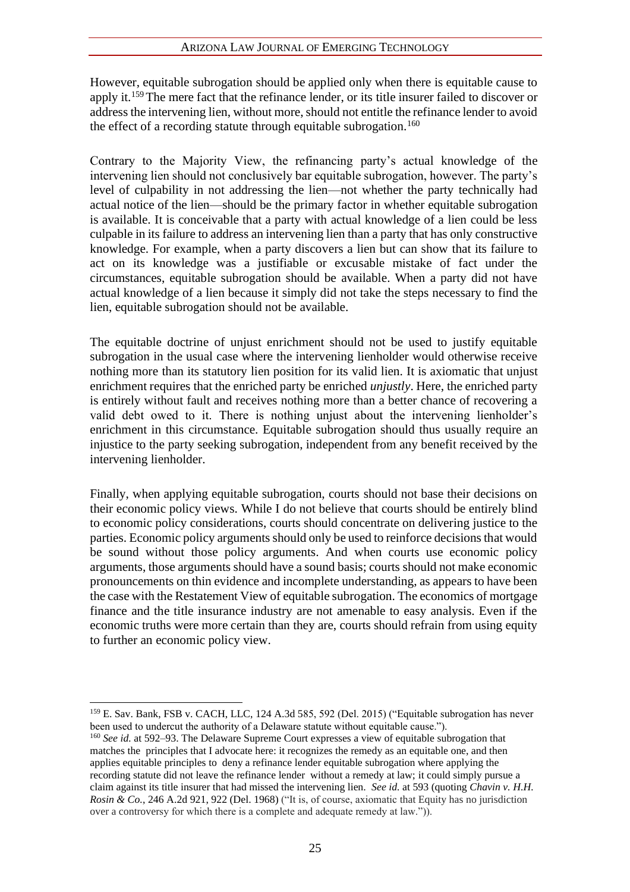#### ARIZONA LAW JOURNAL OF EMERGING TECHNOLOGY

However, equitable subrogation should be applied only when there is equitable cause to apply it.<sup>159</sup>The mere fact that the refinance lender, or its title insurer failed to discover or address the intervening lien, without more, should not entitle the refinance lender to avoid the effect of a recording statute through equitable subrogation.<sup>160</sup>

Contrary to the Majority View, the refinancing party's actual knowledge of the intervening lien should not conclusively bar equitable subrogation, however. The party's level of culpability in not addressing the lien—not whether the party technically had actual notice of the lien—should be the primary factor in whether equitable subrogation is available. It is conceivable that a party with actual knowledge of a lien could be less culpable in its failure to address an intervening lien than a party that has only constructive knowledge. For example, when a party discovers a lien but can show that its failure to act on its knowledge was a justifiable or excusable mistake of fact under the circumstances, equitable subrogation should be available. When a party did not have actual knowledge of a lien because it simply did not take the steps necessary to find the lien, equitable subrogation should not be available.

The equitable doctrine of unjust enrichment should not be used to justify equitable subrogation in the usual case where the intervening lienholder would otherwise receive nothing more than its statutory lien position for its valid lien. It is axiomatic that unjust enrichment requires that the enriched party be enriched *unjustly*. Here, the enriched party is entirely without fault and receives nothing more than a better chance of recovering a valid debt owed to it. There is nothing unjust about the intervening lienholder's enrichment in this circumstance. Equitable subrogation should thus usually require an injustice to the party seeking subrogation, independent from any benefit received by the intervening lienholder.

Finally, when applying equitable subrogation, courts should not base their decisions on their economic policy views. While I do not believe that courts should be entirely blind to economic policy considerations, courts should concentrate on delivering justice to the parties. Economic policy arguments should only be used to reinforce decisions that would be sound without those policy arguments. And when courts use economic policy arguments, those arguments should have a sound basis; courts should not make economic pronouncements on thin evidence and incomplete understanding, as appears to have been the case with the Restatement View of equitable subrogation. The economics of mortgage finance and the title insurance industry are not amenable to easy analysis. Even if the economic truths were more certain than they are, courts should refrain from using equity to further an economic policy view.

<sup>159</sup> E. Sav. Bank, FSB v. CACH, LLC, 124 A.3d 585, 592 (Del. 2015) ("Equitable subrogation has never been used to undercut the authority of a Delaware statute without equitable cause.").

<sup>&</sup>lt;sup>160</sup> See id. at 592–93. The Delaware Supreme Court expresses a view of equitable subrogation that matches the principles that I advocate here: it recognizes the remedy as an equitable one, and then applies equitable principles to deny a refinance lender equitable subrogation where applying the recording statute did not leave the refinance lender without a remedy at law; it could simply pursue a claim against its title insurer that had missed the intervening lien. *See id.* at 593 (quoting *Chavin v. H.H. Rosin & Co.*, 246 A.2d 921, 922 (Del. 1968) ("It is, of course, axiomatic that Equity has no jurisdiction over a controversy for which there is a complete and adequate remedy at law.")).